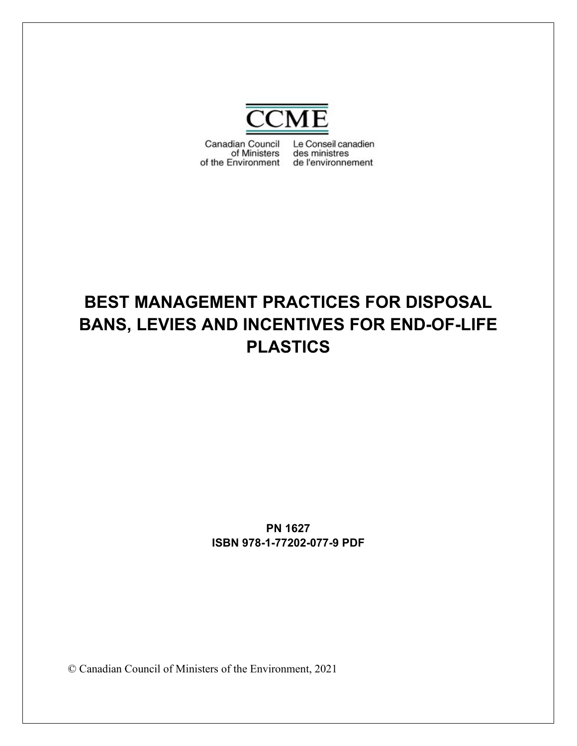

Canadian Council Le Conseil canadien of Ministers des ministres of the Environment de l'environnement

# **BEST MANAGEMENT PRACTICES FOR DISPOSAL BANS, LEVIES AND INCENTIVES FOR END-OF-LIFE PLASTICS**

**PN 1627 ISBN 978-1-77202-077-9 PDF**

© Canadian Council of Ministers of the Environment, 2021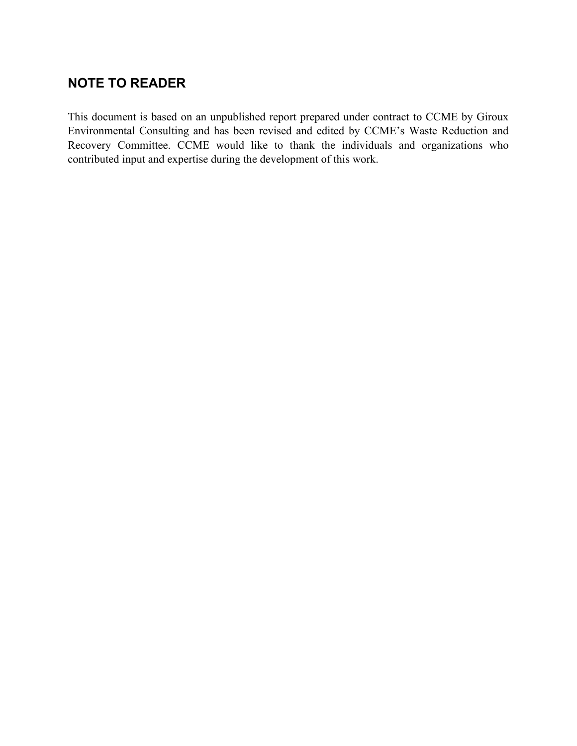## **NOTE TO READER**

This document is based on an unpublished report prepared under contract to CCME by Giroux Environmental Consulting and has been revised and edited by CCME's Waste Reduction and Recovery Committee. CCME would like to thank the individuals and organizations who contributed input and expertise during the development of this work.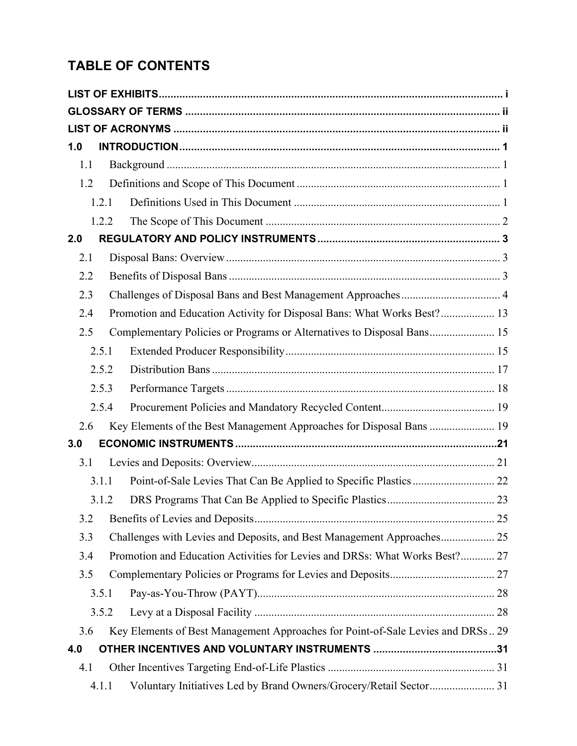## **TABLE OF CONTENTS**

| 1.0 |       |                                                                                 |  |
|-----|-------|---------------------------------------------------------------------------------|--|
| 1.1 |       |                                                                                 |  |
| 1.2 |       |                                                                                 |  |
|     | 1.2.1 |                                                                                 |  |
|     | 1.2.2 |                                                                                 |  |
| 2.0 |       |                                                                                 |  |
| 2.1 |       |                                                                                 |  |
| 2.2 |       |                                                                                 |  |
| 2.3 |       | Challenges of Disposal Bans and Best Management Approaches 4                    |  |
| 2.4 |       | Promotion and Education Activity for Disposal Bans: What Works Best? 13         |  |
| 2.5 |       | Complementary Policies or Programs or Alternatives to Disposal Bans 15          |  |
|     | 2.5.1 |                                                                                 |  |
|     | 2.5.2 |                                                                                 |  |
|     | 2.5.3 |                                                                                 |  |
|     | 2.5.4 |                                                                                 |  |
| 2.6 |       | Key Elements of the Best Management Approaches for Disposal Bans  19            |  |
| 3.0 |       |                                                                                 |  |
| 3.1 |       |                                                                                 |  |
|     | 3.1.1 |                                                                                 |  |
|     | 3.1.2 |                                                                                 |  |
| 3.2 |       |                                                                                 |  |
| 3.3 |       | Challenges with Levies and Deposits, and Best Management Approaches 25          |  |
| 3.4 |       | Promotion and Education Activities for Levies and DRSs: What Works Best? 27     |  |
| 3.5 |       |                                                                                 |  |
|     | 3.5.1 |                                                                                 |  |
|     | 3.5.2 |                                                                                 |  |
| 3.6 |       | Key Elements of Best Management Approaches for Point-of-Sale Levies and DRSs 29 |  |
| 4.0 |       |                                                                                 |  |
| 4.1 |       |                                                                                 |  |
|     | 4.1.1 | Voluntary Initiatives Led by Brand Owners/Grocery/Retail Sector 31              |  |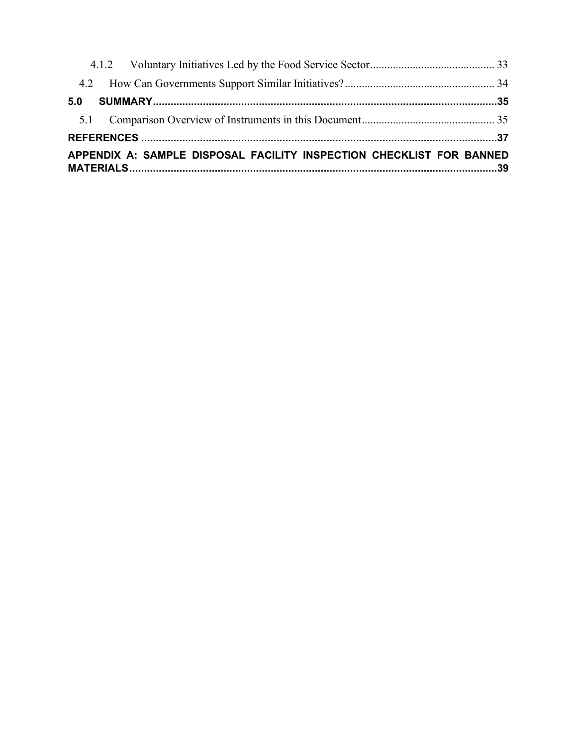| 5.0                                                                  |  |
|----------------------------------------------------------------------|--|
|                                                                      |  |
|                                                                      |  |
| APPENDIX A: SAMPLE DISPOSAL FACILITY INSPECTION CHECKLIST FOR BANNED |  |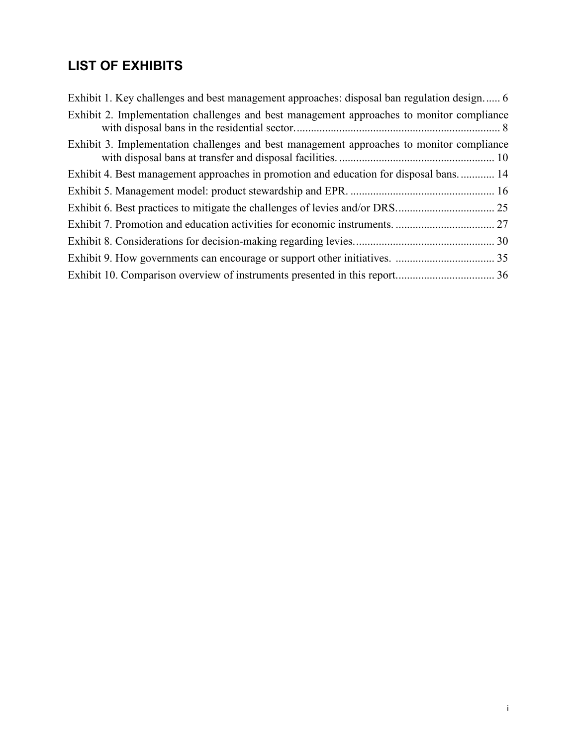## <span id="page-4-0"></span>**LIST OF EXHIBITS**

| Exhibit 1. Key challenges and best management approaches: disposal ban regulation design 6 |  |
|--------------------------------------------------------------------------------------------|--|
| Exhibit 2. Implementation challenges and best management approaches to monitor compliance  |  |
| Exhibit 3. Implementation challenges and best management approaches to monitor compliance  |  |
| Exhibit 4. Best management approaches in promotion and education for disposal bans 14      |  |
|                                                                                            |  |
|                                                                                            |  |
|                                                                                            |  |
|                                                                                            |  |
|                                                                                            |  |
|                                                                                            |  |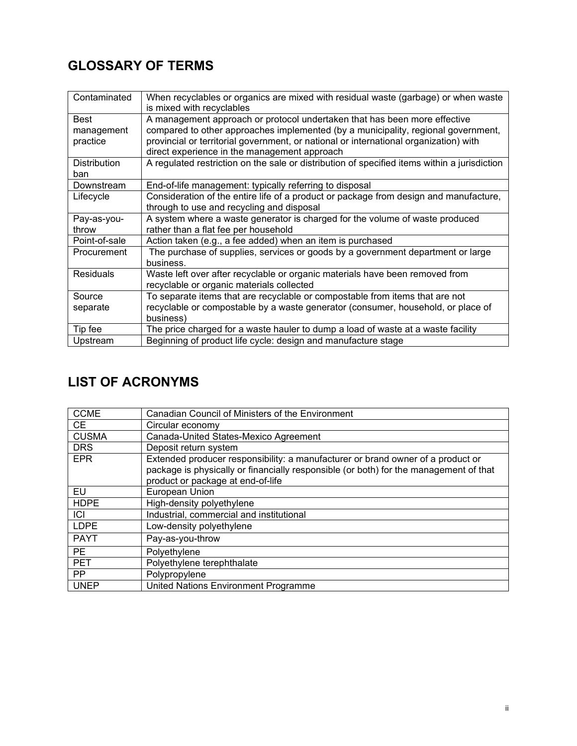## <span id="page-5-0"></span>**GLOSSARY OF TERMS**

| Contaminated                   | When recyclables or organics are mixed with residual waste (garbage) or when waste<br>is mixed with recyclables                                                                                                                                                                                         |
|--------------------------------|---------------------------------------------------------------------------------------------------------------------------------------------------------------------------------------------------------------------------------------------------------------------------------------------------------|
| Best<br>management<br>practice | A management approach or protocol undertaken that has been more effective<br>compared to other approaches implemented (by a municipality, regional government,<br>provincial or territorial government, or national or international organization) with<br>direct experience in the management approach |
| <b>Distribution</b><br>ban     | A regulated restriction on the sale or distribution of specified items within a jurisdiction                                                                                                                                                                                                            |
| Downstream                     | End-of-life management: typically referring to disposal                                                                                                                                                                                                                                                 |
| Lifecycle                      | Consideration of the entire life of a product or package from design and manufacture,<br>through to use and recycling and disposal                                                                                                                                                                      |
| Pay-as-you-<br>throw           | A system where a waste generator is charged for the volume of waste produced<br>rather than a flat fee per household                                                                                                                                                                                    |
| Point-of-sale                  | Action taken (e.g., a fee added) when an item is purchased                                                                                                                                                                                                                                              |
| Procurement                    | The purchase of supplies, services or goods by a government department or large<br>business.                                                                                                                                                                                                            |
| <b>Residuals</b>               | Waste left over after recyclable or organic materials have been removed from<br>recyclable or organic materials collected                                                                                                                                                                               |
| Source                         | To separate items that are recyclable or compostable from items that are not                                                                                                                                                                                                                            |
| separate                       | recyclable or compostable by a waste generator (consumer, household, or place of<br>business)                                                                                                                                                                                                           |
| Tip fee                        | The price charged for a waste hauler to dump a load of waste at a waste facility                                                                                                                                                                                                                        |
| Upstream                       | Beginning of product life cycle: design and manufacture stage                                                                                                                                                                                                                                           |

## <span id="page-5-1"></span>**LIST OF ACRONYMS**

| <b>CCME</b>  | Canadian Council of Ministers of the Environment                                                                                                                                                              |
|--------------|---------------------------------------------------------------------------------------------------------------------------------------------------------------------------------------------------------------|
| <b>CE</b>    | Circular economy                                                                                                                                                                                              |
| <b>CUSMA</b> | Canada-United States-Mexico Agreement                                                                                                                                                                         |
| <b>DRS</b>   | Deposit return system                                                                                                                                                                                         |
| <b>EPR</b>   | Extended producer responsibility: a manufacturer or brand owner of a product or<br>package is physically or financially responsible (or both) for the management of that<br>product or package at end-of-life |
| EU           | European Union                                                                                                                                                                                                |
| <b>HDPE</b>  | High-density polyethylene                                                                                                                                                                                     |
| ICI          | Industrial, commercial and institutional                                                                                                                                                                      |
| <b>LDPE</b>  | Low-density polyethylene                                                                                                                                                                                      |
| <b>PAYT</b>  | Pay-as-you-throw                                                                                                                                                                                              |
| <b>PE</b>    | Polyethylene                                                                                                                                                                                                  |
| <b>PET</b>   | Polyethylene terephthalate                                                                                                                                                                                    |
| <b>PP</b>    | Polypropylene                                                                                                                                                                                                 |
| <b>UNEP</b>  | United Nations Environment Programme                                                                                                                                                                          |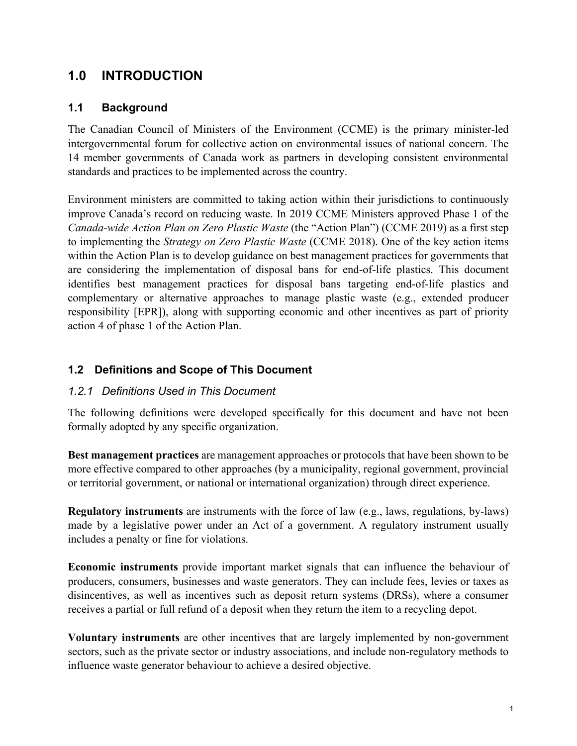## <span id="page-6-0"></span>**1.0 INTRODUCTION**

#### <span id="page-6-1"></span>**1.1 Background**

The Canadian Council of Ministers of the Environment (CCME) is the primary minister-led intergovernmental forum for collective action on environmental issues of national concern. The 14 member governments of Canada work as partners in developing consistent environmental standards and practices to be implemented across the country.

Environment ministers are committed to taking action within their jurisdictions to continuously improve Canada's record on reducing waste. In 2019 CCME Ministers approved Phase 1 of the *Canada-wide Action Plan on Zero Plastic Waste* (the "Action Plan") (CCME 2019) as a first step to implementing the *Strategy on Zero Plastic Waste* (CCME 2018). One of the key action items within the Action Plan is to develop guidance on best management practices for governments that are considering the implementation of disposal bans for end-of-life plastics. This document identifies best management practices for disposal bans targeting end-of-life plastics and complementary or alternative approaches to manage plastic waste (e.g., extended producer responsibility [EPR]), along with supporting economic and other incentives as part of priority action 4 of phase 1 of the Action Plan.

#### <span id="page-6-2"></span>**1.2 Definitions and Scope of This Document**

#### <span id="page-6-3"></span>*1.2.1 Definitions Used in This Document*

The following definitions were developed specifically for this document and have not been formally adopted by any specific organization.

**Best management practices** are management approaches or protocols that have been shown to be more effective compared to other approaches (by a municipality, regional government, provincial or territorial government, or national or international organization) through direct experience.

**Regulatory instruments** are instruments with the force of law (e.g., laws, regulations, by-laws) made by a legislative power under an Act of a government. A regulatory instrument usually includes a penalty or fine for violations.

**Economic instruments** provide important market signals that can influence the behaviour of producers, consumers, businesses and waste generators. They can include fees, levies or taxes as disincentives, as well as incentives such as deposit return systems (DRSs), where a consumer receives a partial or full refund of a deposit when they return the item to a recycling depot.

**Voluntary instruments** are other incentives that are largely implemented by non-government sectors, such as the private sector or industry associations, and include non-regulatory methods to influence waste generator behaviour to achieve a desired objective.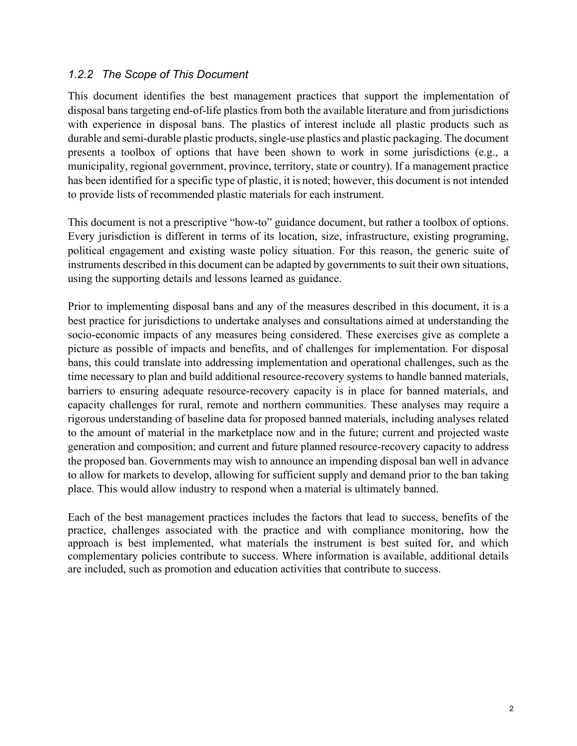#### <span id="page-7-0"></span>*1.2.2 The Scope of This Document*

This document identifies the best management practices that support the implementation of disposal bans targeting end-of-life plastics from both the available literature and from jurisdictions with experience in disposal bans. The plastics of interest include all plastic products such as durable and semi-durable plastic products, single-use plastics and plastic packaging. The document presents a toolbox of options that have been shown to work in some jurisdictions (e.g., a municipality, regional government, province, territory, state or country). If a management practice has been identified for a specific type of plastic, it is noted; however, this document is not intended to provide lists of recommended plastic materials for each instrument.

This document is not a prescriptive "how-to" guidance document, but rather a toolbox of options. Every jurisdiction is different in terms of its location, size, infrastructure, existing programing, political engagement and existing waste policy situation. For this reason, the generic suite of instruments described in this document can be adapted by governments to suit their own situations, using the supporting details and lessons learned as guidance.

Prior to implementing disposal bans and any of the measures described in this document, it is a best practice for jurisdictions to undertake analyses and consultations aimed at understanding the socio-economic impacts of any measures being considered. These exercises give as complete a picture as possible of impacts and benefits, and of challenges for implementation. For disposal bans, this could translate into addressing implementation and operational challenges, such as the time necessary to plan and build additional resource-recovery systems to handle banned materials, barriers to ensuring adequate resource-recovery capacity is in place for banned materials, and capacity challenges for rural, remote and northern communities. These analyses may require a rigorous understanding of baseline data for proposed banned materials, including analyses related to the amount of material in the marketplace now and in the future; current and projected waste generation and composition; and current and future planned resource-recovery capacity to address the proposed ban. Governments may wish to announce an impending disposal ban well in advance to allow for markets to develop, allowing for sufficient supply and demand prior to the ban taking place. This would allow industry to respond when a material is ultimately banned.

Each of the best management practices includes the factors that lead to success, benefits of the practice, challenges associated with the practice and with compliance monitoring, how the approach is best implemented, what materials the instrument is best suited for, and which complementary policies contribute to success. Where information is available, additional details are included, such as promotion and education activities that contribute to success.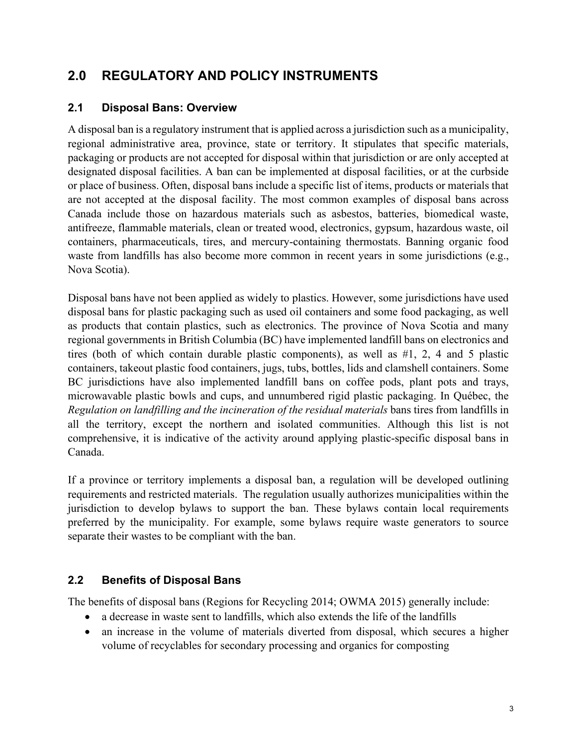## <span id="page-8-0"></span>**2.0 REGULATORY AND POLICY INSTRUMENTS**

### <span id="page-8-1"></span>**2.1 Disposal Bans: Overview**

A disposal ban is a regulatory instrument that is applied across a jurisdiction such as a municipality, regional administrative area, province, state or territory. It stipulates that specific materials, packaging or products are not accepted for disposal within that jurisdiction or are only accepted at designated disposal facilities. A ban can be implemented at disposal facilities, or at the curbside or place of business. Often, disposal bans include a specific list of items, products or materials that are not accepted at the disposal facility. The most common examples of disposal bans across Canada include those on hazardous materials such as asbestos, batteries, biomedical waste, antifreeze, flammable materials, clean or treated wood, electronics, gypsum, hazardous waste, oil containers, pharmaceuticals, tires, and mercury-containing thermostats. Banning organic food waste from landfills has also become more common in recent years in some jurisdictions (e.g., Nova Scotia).

Disposal bans have not been applied as widely to plastics. However, some jurisdictions have used disposal bans for plastic packaging such as used oil containers and some food packaging, as well as products that contain plastics, such as electronics. The province of Nova Scotia and many regional governments in British Columbia (BC) have implemented landfill bans on electronics and tires (both of which contain durable plastic components), as well as #1, 2, 4 and 5 plastic containers, takeout plastic food containers, jugs, tubs, bottles, lids and clamshell containers. Some BC jurisdictions have also implemented landfill bans on coffee pods, plant pots and trays, microwavable plastic bowls and cups, and unnumbered rigid plastic packaging. In Québec, the *Regulation on landfilling and the incineration of the residual materials* bans tires from landfills in all the territory, except the northern and isolated communities. Although this list is not comprehensive, it is indicative of the activity around applying plastic-specific disposal bans in Canada.

If a province or territory implements a disposal ban, a regulation will be developed outlining requirements and restricted materials. The regulation usually authorizes municipalities within the jurisdiction to develop bylaws to support the ban. These bylaws contain local requirements preferred by the municipality. For example, some bylaws require waste generators to source separate their wastes to be compliant with the ban.

#### <span id="page-8-2"></span>**2.2 Benefits of Disposal Bans**

The benefits of disposal bans (Regions for Recycling 2014; OWMA 2015) generally include:

- a decrease in waste sent to landfills, which also extends the life of the landfills
- an increase in the volume of materials diverted from disposal, which secures a higher volume of recyclables for secondary processing and organics for composting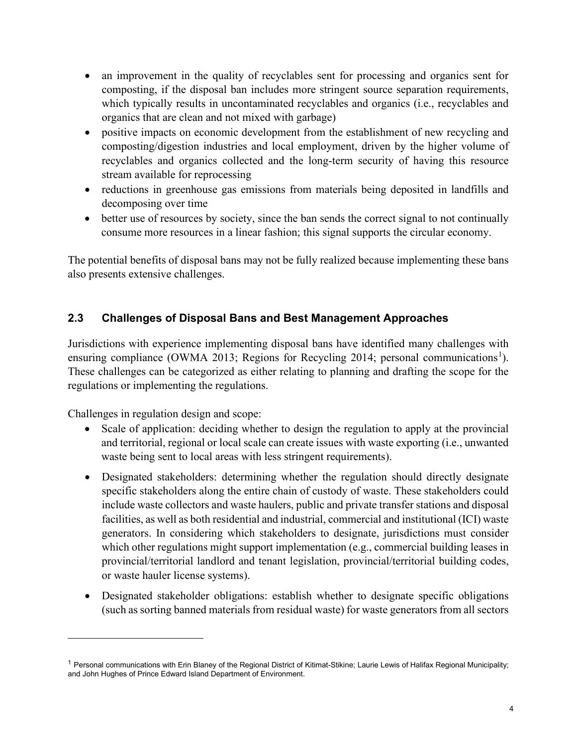- an improvement in the quality of recyclables sent for processing and organics sent for composting, if the disposal ban includes more stringent source separation requirements, which typically results in uncontaminated recyclables and organics (i.e., recyclables and organics that are clean and not mixed with garbage)
- positive impacts on economic development from the establishment of new recycling and composting/digestion industries and local employment, driven by the higher volume of recyclables and organics collected and the long-term security of having this resource stream available for reprocessing
- reductions in greenhouse gas emissions from materials being deposited in landfills and decomposing over time
- better use of resources by society, since the ban sends the correct signal to not continually consume more resources in a linear fashion; this signal supports the circular economy.

The potential benefits of disposal bans may not be fully realized because implementing these bans also presents extensive challenges.

## <span id="page-9-0"></span>**2.3 Challenges of Disposal Bans and Best Management Approaches**

Jurisdictions with experience implementing disposal bans have identified many challenges with ensuring compliance (OWMA 20[1](#page-9-1)3; Regions for Recycling 2014; personal communications<sup>1</sup>). These challenges can be categorized as either relating to planning and drafting the scope for the regulations or implementing the regulations.

Challenges in regulation design and scope:

- Scale of application: deciding whether to design the regulation to apply at the provincial and territorial, regional or local scale can create issues with waste exporting (i.e., unwanted waste being sent to local areas with less stringent requirements).
- Designated stakeholders: determining whether the regulation should directly designate specific stakeholders along the entire chain of custody of waste. These stakeholders could include waste collectors and waste haulers, public and private transfer stations and disposal facilities, as well as both residential and industrial, commercial and institutional (ICI) waste generators. In considering which stakeholders to designate, jurisdictions must consider which other regulations might support implementation (e.g., commercial building leases in provincial/territorial landlord and tenant legislation, provincial/territorial building codes, or waste hauler license systems).
- Designated stakeholder obligations: establish whether to designate specific obligations (such as sorting banned materials from residual waste) for waste generators from all sectors

<span id="page-9-1"></span><sup>&</sup>lt;sup>1</sup> Personal communications with Erin Blaney of the Regional District of Kitimat-Stikine; Laurie Lewis of Halifax Regional Municipality; and John Hughes of Prince Edward Island Department of Environment.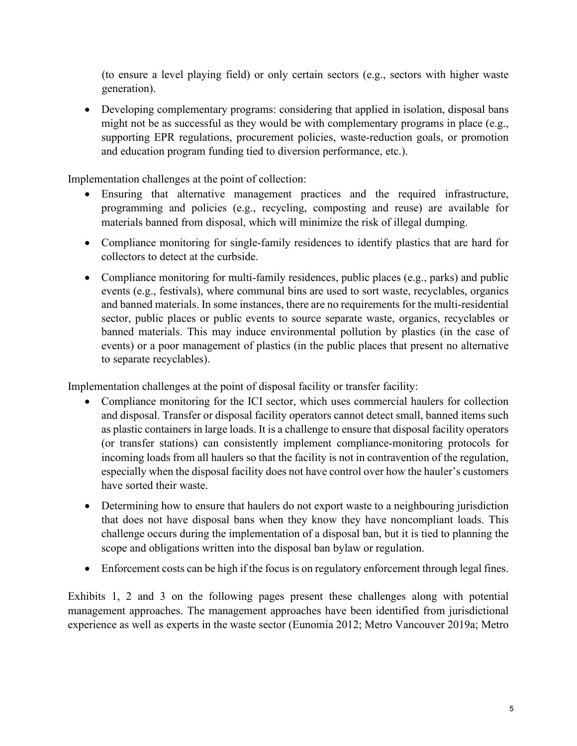(to ensure a level playing field) or only certain sectors (e.g., sectors with higher waste generation).

• Developing complementary programs: considering that applied in isolation, disposal bans might not be as successful as they would be with complementary programs in place (e.g., supporting EPR regulations, procurement policies, waste-reduction goals, or promotion and education program funding tied to diversion performance, etc.).

Implementation challenges at the point of collection:

- Ensuring that alternative management practices and the required infrastructure, programming and policies (e.g., recycling, composting and reuse) are available for materials banned from disposal, which will minimize the risk of illegal dumping.
- Compliance monitoring for single-family residences to identify plastics that are hard for collectors to detect at the curbside.
- Compliance monitoring for multi-family residences, public places (e.g., parks) and public events (e.g., festivals), where communal bins are used to sort waste, recyclables, organics and banned materials. In some instances, there are no requirements for the multi-residential sector, public places or public events to source separate waste, organics, recyclables or banned materials. This may induce environmental pollution by plastics (in the case of events) or a poor management of plastics (in the public places that present no alternative to separate recyclables).

Implementation challenges at the point of disposal facility or transfer facility:

- Compliance monitoring for the ICI sector, which uses commercial haulers for collection and disposal. Transfer or disposal facility operators cannot detect small, banned items such as plastic containers in large loads. It is a challenge to ensure that disposal facility operators (or transfer stations) can consistently implement compliance-monitoring protocols for incoming loads from all haulers so that the facility is not in contravention of the regulation, especially when the disposal facility does not have control over how the hauler's customers have sorted their waste.
- Determining how to ensure that haulers do not export waste to a neighbouring jurisdiction that does not have disposal bans when they know they have noncompliant loads. This challenge occurs during the implementation of a disposal ban, but it is tied to planning the scope and obligations written into the disposal ban bylaw or regulation.
- Enforcement costs can be high if the focus is on regulatory enforcement through legal fines.

Exhibits 1, 2 and 3 on the following pages present these challenges along with potential management approaches. The management approaches have been identified from jurisdictional experience as well as experts in the waste sector (Eunomia 2012; Metro Vancouver 2019a; Metro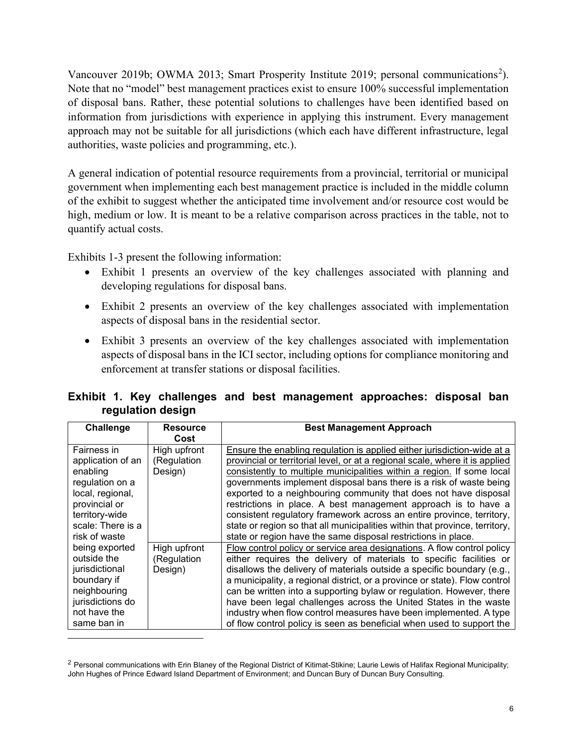Vancouver [2](#page-11-0)019b; OWMA 2013; Smart Prosperity Institute 2019; personal communications<sup>2</sup>). Note that no "model" best management practices exist to ensure 100% successful implementation of disposal bans. Rather, these potential solutions to challenges have been identified based on information from jurisdictions with experience in applying this instrument. Every management approach may not be suitable for all jurisdictions (which each have different infrastructure, legal authorities, waste policies and programming, etc.).

A general indication of potential resource requirements from a provincial, territorial or municipal government when implementing each best management practice is included in the middle column of the exhibit to suggest whether the anticipated time involvement and/or resource cost would be high, medium or low. It is meant to be a relative comparison across practices in the table, not to quantify actual costs.

Exhibits 1-3 present the following information:

- Exhibit 1 presents an overview of the key challenges associated with planning and developing regulations for disposal bans.
- Exhibit 2 presents an overview of the key challenges associated with implementation aspects of disposal bans in the residential sector.
- Exhibit 3 presents an overview of the key challenges associated with implementation aspects of disposal bans in the ICI sector, including options for compliance monitoring and enforcement at transfer stations or disposal facilities.

|  |                   |  | Exhibit 1. Key challenges and best management approaches: disposal ban |  |  |
|--|-------------------|--|------------------------------------------------------------------------|--|--|
|  | regulation design |  |                                                                        |  |  |

| Challenge                                                                                                                         | <b>Resource</b>                                | <b>Best Management Approach</b>                                                                                                                                                                                                                                                                                                                                                                                                                                                                                                                                                                  |
|-----------------------------------------------------------------------------------------------------------------------------------|------------------------------------------------|--------------------------------------------------------------------------------------------------------------------------------------------------------------------------------------------------------------------------------------------------------------------------------------------------------------------------------------------------------------------------------------------------------------------------------------------------------------------------------------------------------------------------------------------------------------------------------------------------|
| Fairness in<br>application of an<br>enabling                                                                                      | Cost<br>High upfront<br>(Regulation<br>Design) | Ensure the enabling regulation is applied either jurisdiction-wide at a<br>provincial or territorial level, or at a regional scale, where it is applied<br>consistently to multiple municipalities within a region. If some local                                                                                                                                                                                                                                                                                                                                                                |
| regulation on a<br>local, regional,<br>provincial or<br>territory-wide<br>scale: There is a<br>risk of waste                      |                                                | governments implement disposal bans there is a risk of waste being<br>exported to a neighbouring community that does not have disposal<br>restrictions in place. A best management approach is to have a<br>consistent regulatory framework across an entire province, territory,<br>state or region so that all municipalities within that province, territory,<br>state or region have the same disposal restrictions in place.                                                                                                                                                                |
| being exported<br>outside the<br>jurisdictional<br>boundary if<br>neighbouring<br>jurisdictions do<br>not have the<br>same ban in | High upfront<br>(Regulation<br>Design)         | Flow control policy or service area designations. A flow control policy<br>either requires the delivery of materials to specific facilities or<br>disallows the delivery of materials outside a specific boundary (e.g.,<br>a municipality, a regional district, or a province or state). Flow control<br>can be written into a supporting bylaw or regulation. However, there<br>have been legal challenges across the United States in the waste<br>industry when flow control measures have been implemented. A type<br>of flow control policy is seen as beneficial when used to support the |

<span id="page-11-0"></span><sup>&</sup>lt;sup>2</sup> Personal communications with Erin Blaney of the Regional District of Kitimat-Stikine; Laurie Lewis of Halifax Regional Municipality; John Hughes of Prince Edward Island Department of Environment; and Duncan Bury of Duncan Bury Consulting.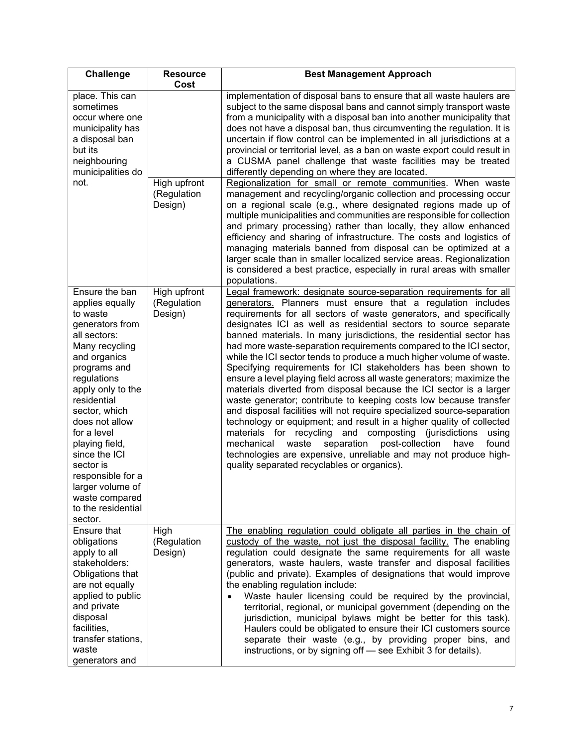| <b>Challenge</b>                                                                                                                                                                                                                                                                                                                                                                    | <b>Resource</b><br>Cost                | <b>Best Management Approach</b>                                                                                                                                                                                                                                                                                                                                                                                                                                                                                                                                                                                                                                                                                                                                                                                                                                                                                                                                                                                                                                                                                                                                                                      |
|-------------------------------------------------------------------------------------------------------------------------------------------------------------------------------------------------------------------------------------------------------------------------------------------------------------------------------------------------------------------------------------|----------------------------------------|------------------------------------------------------------------------------------------------------------------------------------------------------------------------------------------------------------------------------------------------------------------------------------------------------------------------------------------------------------------------------------------------------------------------------------------------------------------------------------------------------------------------------------------------------------------------------------------------------------------------------------------------------------------------------------------------------------------------------------------------------------------------------------------------------------------------------------------------------------------------------------------------------------------------------------------------------------------------------------------------------------------------------------------------------------------------------------------------------------------------------------------------------------------------------------------------------|
| place. This can<br>sometimes<br>occur where one<br>municipality has<br>a disposal ban<br>but its<br>neighbouring<br>municipalities do                                                                                                                                                                                                                                               |                                        | implementation of disposal bans to ensure that all waste haulers are<br>subject to the same disposal bans and cannot simply transport waste<br>from a municipality with a disposal ban into another municipality that<br>does not have a disposal ban, thus circumventing the regulation. It is<br>uncertain if flow control can be implemented in all jurisdictions at a<br>provincial or territorial level, as a ban on waste export could result in<br>a CUSMA panel challenge that waste facilities may be treated<br>differently depending on where they are located.                                                                                                                                                                                                                                                                                                                                                                                                                                                                                                                                                                                                                           |
| not.                                                                                                                                                                                                                                                                                                                                                                                | High upfront<br>(Regulation<br>Design) | Regionalization for small or remote communities. When waste<br>management and recycling/organic collection and processing occur<br>on a regional scale (e.g., where designated regions made up of<br>multiple municipalities and communities are responsible for collection<br>and primary processing) rather than locally, they allow enhanced<br>efficiency and sharing of infrastructure. The costs and logistics of<br>managing materials banned from disposal can be optimized at a<br>larger scale than in smaller localized service areas. Regionalization<br>is considered a best practice, especially in rural areas with smaller<br>populations.                                                                                                                                                                                                                                                                                                                                                                                                                                                                                                                                           |
| Ensure the ban<br>applies equally<br>to waste<br>generators from<br>all sectors:<br>Many recycling<br>and organics<br>programs and<br>regulations<br>apply only to the<br>residential<br>sector, which<br>does not allow<br>for a level<br>playing field,<br>since the ICI<br>sector is<br>responsible for a<br>larger volume of<br>waste compared<br>to the residential<br>sector. | High upfront<br>(Regulation<br>Design) | Legal framework: designate source-separation requirements for all<br>generators. Planners must ensure that a regulation includes<br>requirements for all sectors of waste generators, and specifically<br>designates ICI as well as residential sectors to source separate<br>banned materials. In many jurisdictions, the residential sector has<br>had more waste-separation requirements compared to the ICI sector,<br>while the ICI sector tends to produce a much higher volume of waste.<br>Specifying requirements for ICI stakeholders has been shown to<br>ensure a level playing field across all waste generators; maximize the<br>materials diverted from disposal because the ICI sector is a larger<br>waste generator; contribute to keeping costs low because transfer<br>and disposal facilities will not require specialized source-separation<br>technology or equipment; and result in a higher quality of collected<br>materials for recycling and composting (jurisdictions<br>using<br>separation post-collection<br>mechanical<br>waste<br>have<br>found<br>technologies are expensive, unreliable and may not produce high-<br>quality separated recyclables or organics). |
| Ensure that<br>obligations<br>apply to all<br>stakeholders:<br>Obligations that<br>are not equally<br>applied to public<br>and private<br>disposal<br>facilities,<br>transfer stations,<br>waste<br>generators and                                                                                                                                                                  | High<br>(Regulation<br>Design)         | The enabling regulation could obligate all parties in the chain of<br>custody of the waste, not just the disposal facility. The enabling<br>regulation could designate the same requirements for all waste<br>generators, waste haulers, waste transfer and disposal facilities<br>(public and private). Examples of designations that would improve<br>the enabling regulation include:<br>Waste hauler licensing could be required by the provincial,<br>territorial, regional, or municipal government (depending on the<br>jurisdiction, municipal bylaws might be better for this task).<br>Haulers could be obligated to ensure their ICI customers source<br>separate their waste (e.g., by providing proper bins, and<br>instructions, or by signing off - see Exhibit 3 for details).                                                                                                                                                                                                                                                                                                                                                                                                       |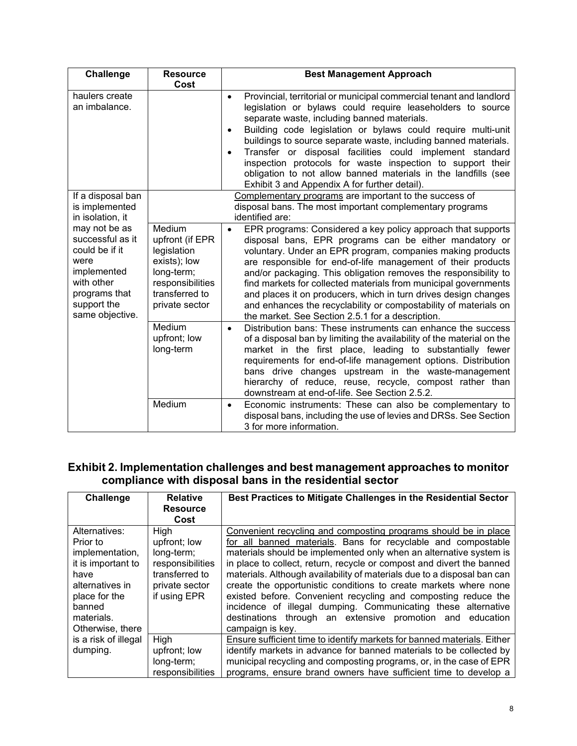| <b>Challenge</b>                                                                                                                            | <b>Resource</b><br>Cost                                                                                                        | <b>Best Management Approach</b>                                                                                                                                                                                                                                                                                                                                                                                                                                                                                                                                                                    |
|---------------------------------------------------------------------------------------------------------------------------------------------|--------------------------------------------------------------------------------------------------------------------------------|----------------------------------------------------------------------------------------------------------------------------------------------------------------------------------------------------------------------------------------------------------------------------------------------------------------------------------------------------------------------------------------------------------------------------------------------------------------------------------------------------------------------------------------------------------------------------------------------------|
| haulers create<br>an imbalance.                                                                                                             |                                                                                                                                | Provincial, territorial or municipal commercial tenant and landlord<br>$\bullet$<br>legislation or bylaws could require leaseholders to source<br>separate waste, including banned materials.<br>Building code legislation or bylaws could require multi-unit<br>buildings to source separate waste, including banned materials.<br>Transfer or disposal facilities could implement standard<br>inspection protocols for waste inspection to support their<br>obligation to not allow banned materials in the landfills (see<br>Exhibit 3 and Appendix A for further detail).                      |
| If a disposal ban<br>is implemented<br>in isolation, it                                                                                     |                                                                                                                                | Complementary programs are important to the success of<br>disposal bans. The most important complementary programs<br>identified are:                                                                                                                                                                                                                                                                                                                                                                                                                                                              |
| may not be as<br>successful as it<br>could be if it<br>were<br>implemented<br>with other<br>programs that<br>support the<br>same objective. | Medium<br>upfront (if EPR<br>legislation<br>exists); low<br>long-term;<br>responsibilities<br>transferred to<br>private sector | EPR programs: Considered a key policy approach that supports<br>$\bullet$<br>disposal bans, EPR programs can be either mandatory or<br>voluntary. Under an EPR program, companies making products<br>are responsible for end-of-life management of their products<br>and/or packaging. This obligation removes the responsibility to<br>find markets for collected materials from municipal governments<br>and places it on producers, which in turn drives design changes<br>and enhances the recyclability or compostability of materials on<br>the market. See Section 2.5.1 for a description. |
|                                                                                                                                             | Medium<br>upfront; low<br>long-term                                                                                            | Distribution bans: These instruments can enhance the success<br>$\bullet$<br>of a disposal ban by limiting the availability of the material on the<br>market in the first place, leading to substantially fewer<br>requirements for end-of-life management options. Distribution<br>bans drive changes upstream in the waste-management<br>hierarchy of reduce, reuse, recycle, compost rather than<br>downstream at end-of-life. See Section 2.5.2.                                                                                                                                               |
|                                                                                                                                             | Medium                                                                                                                         | Economic instruments: These can also be complementary to<br>$\bullet$<br>disposal bans, including the use of levies and DRSs. See Section<br>3 for more information.                                                                                                                                                                                                                                                                                                                                                                                                                               |

#### **Exhibit 2. Implementation challenges and best management approaches to monitor compliance with disposal bans in the residential sector**

| Challenge                                                                                                                                                  | <b>Relative</b><br><b>Resource</b><br>Cost                                                                 | Best Practices to Mitigate Challenges in the Residential Sector                                                                                                                                                                                                                                                                                                                                                                                                                                                                                                                                                                                    |
|------------------------------------------------------------------------------------------------------------------------------------------------------------|------------------------------------------------------------------------------------------------------------|----------------------------------------------------------------------------------------------------------------------------------------------------------------------------------------------------------------------------------------------------------------------------------------------------------------------------------------------------------------------------------------------------------------------------------------------------------------------------------------------------------------------------------------------------------------------------------------------------------------------------------------------------|
| Alternatives:<br>Prior to<br>implementation,<br>it is important to<br>have<br>alternatives in<br>place for the<br>banned<br>materials.<br>Otherwise, there | High<br>upfront; low<br>long-term;<br>responsibilities<br>transferred to<br>private sector<br>if using EPR | Convenient recycling and composting programs should be in place<br>for all banned materials. Bans for recyclable and compostable<br>materials should be implemented only when an alternative system is<br>in place to collect, return, recycle or compost and divert the banned<br>materials. Although availability of materials due to a disposal ban can<br>create the opportunistic conditions to create markets where none<br>existed before. Convenient recycling and composting reduce the<br>incidence of illegal dumping. Communicating these alternative<br>destinations through an extensive promotion and education<br>campaign is key. |
| is a risk of illegal<br>dumping.                                                                                                                           | <b>High</b><br>upfront; low<br>long-term;<br>responsibilities                                              | Ensure sufficient time to identify markets for banned materials. Either<br>identify markets in advance for banned materials to be collected by<br>municipal recycling and composting programs, or, in the case of EPR<br>programs, ensure brand owners have sufficient time to develop a                                                                                                                                                                                                                                                                                                                                                           |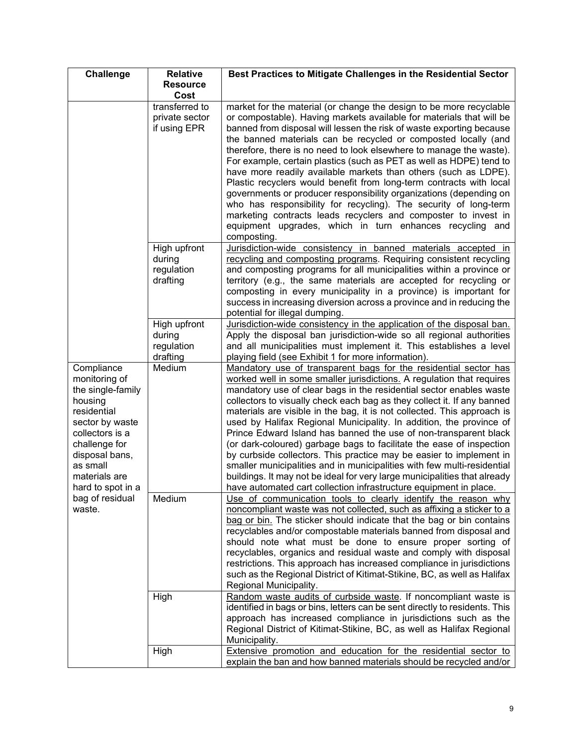| Challenge                                                                                                                                                                                             | <b>Relative</b>                                  | Best Practices to Mitigate Challenges in the Residential Sector                                                                                                                                                                                                                                                                                                                                                                                                                                                                                                                                                                                                                                                                                                                                                                                                                               |
|-------------------------------------------------------------------------------------------------------------------------------------------------------------------------------------------------------|--------------------------------------------------|-----------------------------------------------------------------------------------------------------------------------------------------------------------------------------------------------------------------------------------------------------------------------------------------------------------------------------------------------------------------------------------------------------------------------------------------------------------------------------------------------------------------------------------------------------------------------------------------------------------------------------------------------------------------------------------------------------------------------------------------------------------------------------------------------------------------------------------------------------------------------------------------------|
|                                                                                                                                                                                                       | <b>Resource</b><br>Cost                          |                                                                                                                                                                                                                                                                                                                                                                                                                                                                                                                                                                                                                                                                                                                                                                                                                                                                                               |
|                                                                                                                                                                                                       | transferred to<br>private sector<br>if using EPR | market for the material (or change the design to be more recyclable<br>or compostable). Having markets available for materials that will be<br>banned from disposal will lessen the risk of waste exporting because<br>the banned materials can be recycled or composted locally (and<br>therefore, there is no need to look elsewhere to manage the waste).<br>For example, certain plastics (such as PET as well as HDPE) tend to<br>have more readily available markets than others (such as LDPE).<br>Plastic recyclers would benefit from long-term contracts with local<br>governments or producer responsibility organizations (depending on<br>who has responsibility for recycling). The security of long-term<br>marketing contracts leads recyclers and composter to invest in<br>equipment upgrades, which in turn enhances recycling and<br>composting.                          |
|                                                                                                                                                                                                       | High upfront<br>during<br>regulation<br>drafting | Jurisdiction-wide consistency in banned materials accepted in<br>recycling and composting programs. Requiring consistent recycling<br>and composting programs for all municipalities within a province or<br>territory (e.g., the same materials are accepted for recycling or<br>composting in every municipality in a province) is important for<br>success in increasing diversion across a province and in reducing the<br>potential for illegal dumping.                                                                                                                                                                                                                                                                                                                                                                                                                                 |
|                                                                                                                                                                                                       | High upfront<br>during<br>regulation<br>drafting | Jurisdiction-wide consistency in the application of the disposal ban.<br>Apply the disposal ban jurisdiction-wide so all regional authorities<br>and all municipalities must implement it. This establishes a level<br>playing field (see Exhibit 1 for more information).                                                                                                                                                                                                                                                                                                                                                                                                                                                                                                                                                                                                                    |
| Compliance<br>monitoring of<br>the single-family<br>housing<br>residential<br>sector by waste<br>collectors is a<br>challenge for<br>disposal bans,<br>as small<br>materials are<br>hard to spot in a | Medium                                           | Mandatory use of transparent bags for the residential sector has<br>worked well in some smaller jurisdictions. A regulation that requires<br>mandatory use of clear bags in the residential sector enables waste<br>collectors to visually check each bag as they collect it. If any banned<br>materials are visible in the bag, it is not collected. This approach is<br>used by Halifax Regional Municipality. In addition, the province of<br>Prince Edward Island has banned the use of non-transparent black<br>(or dark-coloured) garbage bags to facilitate the ease of inspection<br>by curbside collectors. This practice may be easier to implement in<br>smaller municipalities and in municipalities with few multi-residential<br>buildings. It may not be ideal for very large municipalities that already<br>have automated cart collection infrastructure equipment in place. |
| bag of residual<br>waste.                                                                                                                                                                             | Medium                                           | Use of communication tools to clearly identify the reason why<br>noncompliant waste was not collected, such as affixing a sticker to a<br>bag or bin. The sticker should indicate that the bag or bin contains<br>recyclables and/or compostable materials banned from disposal and<br>should note what must be done to ensure proper sorting of<br>recyclables, organics and residual waste and comply with disposal<br>restrictions. This approach has increased compliance in jurisdictions<br>such as the Regional District of Kitimat-Stikine, BC, as well as Halifax<br>Regional Municipality.                                                                                                                                                                                                                                                                                          |
|                                                                                                                                                                                                       | High                                             | Random waste audits of curbside waste. If noncompliant waste is<br>identified in bags or bins, letters can be sent directly to residents. This<br>approach has increased compliance in jurisdictions such as the<br>Regional District of Kitimat-Stikine, BC, as well as Halifax Regional<br>Municipality.                                                                                                                                                                                                                                                                                                                                                                                                                                                                                                                                                                                    |
|                                                                                                                                                                                                       | High                                             | Extensive promotion and education for the residential sector to<br>explain the ban and how banned materials should be recycled and/or                                                                                                                                                                                                                                                                                                                                                                                                                                                                                                                                                                                                                                                                                                                                                         |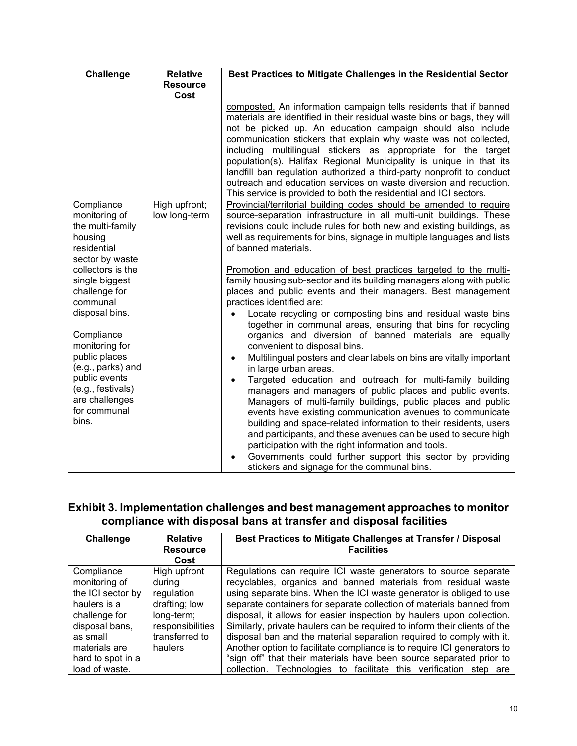| Challenge                                                                                          | <b>Relative</b>                | Best Practices to Mitigate Challenges in the Residential Sector                                                                                                                                                                                                                                                                                                                                                                                                                                                                                                                                                                            |
|----------------------------------------------------------------------------------------------------|--------------------------------|--------------------------------------------------------------------------------------------------------------------------------------------------------------------------------------------------------------------------------------------------------------------------------------------------------------------------------------------------------------------------------------------------------------------------------------------------------------------------------------------------------------------------------------------------------------------------------------------------------------------------------------------|
|                                                                                                    | <b>Resource</b><br>Cost        |                                                                                                                                                                                                                                                                                                                                                                                                                                                                                                                                                                                                                                            |
|                                                                                                    |                                | composted. An information campaign tells residents that if banned<br>materials are identified in their residual waste bins or bags, they will<br>not be picked up. An education campaign should also include<br>communication stickers that explain why waste was not collected,<br>including multilingual stickers as appropriate for the target<br>population(s). Halifax Regional Municipality is unique in that its<br>landfill ban regulation authorized a third-party nonprofit to conduct<br>outreach and education services on waste diversion and reduction.<br>This service is provided to both the residential and ICI sectors. |
| Compliance<br>monitoring of<br>the multi-family<br>housing<br>residential<br>sector by waste       | High upfront;<br>low long-term | Provincial/territorial building codes should be amended to require<br>source-separation infrastructure in all multi-unit buildings. These<br>revisions could include rules for both new and existing buildings, as<br>well as requirements for bins, signage in multiple languages and lists<br>of banned materials.                                                                                                                                                                                                                                                                                                                       |
| collectors is the<br>single biggest<br>challenge for<br>communal                                   |                                | Promotion and education of best practices targeted to the multi-<br>family housing sub-sector and its building managers along with public<br>places and public events and their managers. Best management<br>practices identified are:                                                                                                                                                                                                                                                                                                                                                                                                     |
| disposal bins.<br>Compliance<br>monitoring for<br>public places                                    |                                | Locate recycling or composting bins and residual waste bins<br>together in communal areas, ensuring that bins for recycling<br>organics and diversion of banned materials are equally<br>convenient to disposal bins.<br>Multilingual posters and clear labels on bins are vitally important<br>$\bullet$                                                                                                                                                                                                                                                                                                                                  |
| (e.g., parks) and<br>public events<br>(e.g., festivals)<br>are challenges<br>for communal<br>bins. |                                | in large urban areas.<br>Targeted education and outreach for multi-family building<br>$\bullet$<br>managers and managers of public places and public events.<br>Managers of multi-family buildings, public places and public<br>events have existing communication avenues to communicate<br>building and space-related information to their residents, users<br>and participants, and these avenues can be used to secure high<br>participation with the right information and tools.<br>Governments could further support this sector by providing<br>stickers and signage for the communal bins.                                        |

#### **Exhibit 3. Implementation challenges and best management approaches to monitor compliance with disposal bans at transfer and disposal facilities**

| Challenge                                                                                                                                                               | <b>Relative</b><br><b>Resource</b><br>Cost                                                                           | Best Practices to Mitigate Challenges at Transfer / Disposal<br><b>Facilities</b>                                                                                                                                                                                                                                                                                                                                                                                                                                                                                                                                                                                                                                                     |
|-------------------------------------------------------------------------------------------------------------------------------------------------------------------------|----------------------------------------------------------------------------------------------------------------------|---------------------------------------------------------------------------------------------------------------------------------------------------------------------------------------------------------------------------------------------------------------------------------------------------------------------------------------------------------------------------------------------------------------------------------------------------------------------------------------------------------------------------------------------------------------------------------------------------------------------------------------------------------------------------------------------------------------------------------------|
| Compliance<br>monitoring of<br>the ICI sector by<br>haulers is a<br>challenge for<br>disposal bans,<br>as small<br>materials are<br>hard to spot in a<br>load of waste. | High upfront<br>during<br>regulation<br>drafting; low<br>long-term;<br>responsibilities<br>transferred to<br>haulers | Regulations can require ICI waste generators to source separate<br>recyclables, organics and banned materials from residual waste<br>using separate bins. When the ICI waste generator is obliged to use<br>separate containers for separate collection of materials banned from<br>disposal, it allows for easier inspection by haulers upon collection.<br>Similarly, private haulers can be required to inform their clients of the<br>disposal ban and the material separation required to comply with it.<br>Another option to facilitate compliance is to require ICI generators to<br>"sign off" that their materials have been source separated prior to<br>collection. Technologies to facilitate this verification step are |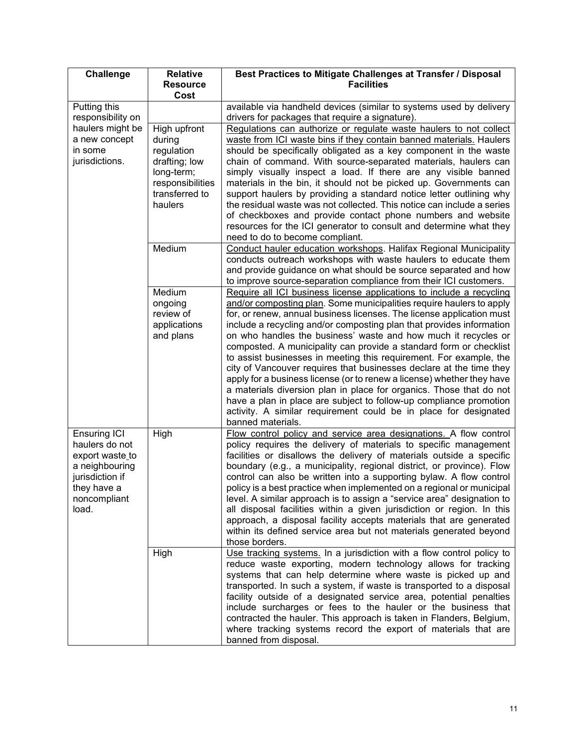| <b>Challenge</b>                                                                                                                      | <b>Relative</b><br><b>Resource</b>                                                                                   | Best Practices to Mitigate Challenges at Transfer / Disposal<br><b>Facilities</b>                                                                                                                                                                                                                                                                                                                                                                                                                                                                                                                                                                                                                                                                                                                                                                                                                  |  |  |  |  |
|---------------------------------------------------------------------------------------------------------------------------------------|----------------------------------------------------------------------------------------------------------------------|----------------------------------------------------------------------------------------------------------------------------------------------------------------------------------------------------------------------------------------------------------------------------------------------------------------------------------------------------------------------------------------------------------------------------------------------------------------------------------------------------------------------------------------------------------------------------------------------------------------------------------------------------------------------------------------------------------------------------------------------------------------------------------------------------------------------------------------------------------------------------------------------------|--|--|--|--|
| Putting this<br>responsibility on                                                                                                     | Cost                                                                                                                 | available via handheld devices (similar to systems used by delivery<br>drivers for packages that require a signature).                                                                                                                                                                                                                                                                                                                                                                                                                                                                                                                                                                                                                                                                                                                                                                             |  |  |  |  |
| haulers might be<br>a new concept<br>in some<br>jurisdictions.                                                                        | High upfront<br>during<br>regulation<br>drafting; low<br>long-term;<br>responsibilities<br>transferred to<br>haulers | Regulations can authorize or regulate waste haulers to not collect<br>waste from ICI waste bins if they contain banned materials. Haulers<br>should be specifically obligated as a key component in the waste<br>chain of command. With source-separated materials, haulers can<br>simply visually inspect a load. If there are any visible banned<br>materials in the bin, it should not be picked up. Governments can<br>support haulers by providing a standard notice letter outlining why<br>the residual waste was not collected. This notice can include a series<br>of checkboxes and provide contact phone numbers and website<br>resources for the ICI generator to consult and determine what they<br>need to do to become compliant.                                                                                                                                                   |  |  |  |  |
|                                                                                                                                       | Medium                                                                                                               | Conduct hauler education workshops. Halifax Regional Municipality<br>conducts outreach workshops with waste haulers to educate them<br>and provide guidance on what should be source separated and how<br>to improve source-separation compliance from their ICI customers.                                                                                                                                                                                                                                                                                                                                                                                                                                                                                                                                                                                                                        |  |  |  |  |
|                                                                                                                                       | Medium<br>ongoing<br>review of<br>applications<br>and plans                                                          | Require all ICI business license applications to include a recycling<br>and/or composting plan. Some municipalities require haulers to apply<br>for, or renew, annual business licenses. The license application must<br>include a recycling and/or composting plan that provides information<br>on who handles the business' waste and how much it recycles or<br>composted. A municipality can provide a standard form or checklist<br>to assist businesses in meeting this requirement. For example, the<br>city of Vancouver requires that businesses declare at the time they<br>apply for a business license (or to renew a license) whether they have<br>a materials diversion plan in place for organics. Those that do not<br>have a plan in place are subject to follow-up compliance promotion<br>activity. A similar requirement could be in place for designated<br>banned materials. |  |  |  |  |
| <b>Ensuring ICI</b><br>haulers do not<br>export waste_to<br>a neighbouring<br>jurisdiction if<br>they have a<br>noncompliant<br>load. | High                                                                                                                 | Flow control policy and service area designations. A flow control<br>policy requires the delivery of materials to specific management<br>facilities or disallows the delivery of materials outside a specific<br>boundary (e.g., a municipality, regional district, or province). Flow<br>control can also be written into a supporting bylaw. A flow control<br>policy is a best practice when implemented on a regional or municipal<br>level. A similar approach is to assign a "service area" designation to<br>all disposal facilities within a given jurisdiction or region. In this<br>approach, a disposal facility accepts materials that are generated<br>within its defined service area but not materials generated beyond<br>those borders.                                                                                                                                           |  |  |  |  |
|                                                                                                                                       | High                                                                                                                 | Use tracking systems. In a jurisdiction with a flow control policy to<br>reduce waste exporting, modern technology allows for tracking<br>systems that can help determine where waste is picked up and<br>transported. In such a system, if waste is transported to a disposal<br>facility outside of a designated service area, potential penalties<br>include surcharges or fees to the hauler or the business that<br>contracted the hauler. This approach is taken in Flanders, Belgium,<br>where tracking systems record the export of materials that are<br>banned from disposal.                                                                                                                                                                                                                                                                                                            |  |  |  |  |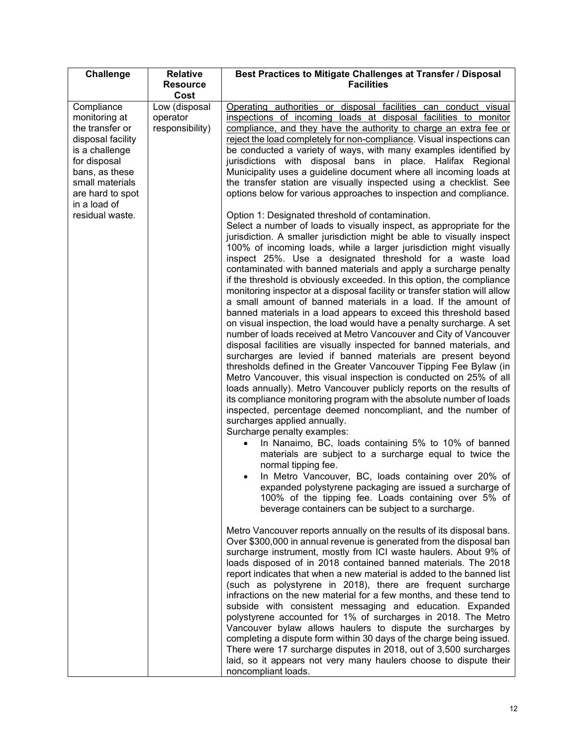| <b>Challenge</b>                                                                                                                                                                                  | <b>Relative</b>                                      | Best Practices to Mitigate Challenges at Transfer / Disposal                                                                                                                                                                                                                                                                                                                                                                                                                                                                                                                                                                                                                                                                                                                                                                                                                                                                                                                                                                                                                                                                                                                                                                                                                                                                                                                                                                                                                                                                                                                                                                                                                                                                                                                                                                                                                                                                                                                                                        |  |  |  |
|---------------------------------------------------------------------------------------------------------------------------------------------------------------------------------------------------|------------------------------------------------------|---------------------------------------------------------------------------------------------------------------------------------------------------------------------------------------------------------------------------------------------------------------------------------------------------------------------------------------------------------------------------------------------------------------------------------------------------------------------------------------------------------------------------------------------------------------------------------------------------------------------------------------------------------------------------------------------------------------------------------------------------------------------------------------------------------------------------------------------------------------------------------------------------------------------------------------------------------------------------------------------------------------------------------------------------------------------------------------------------------------------------------------------------------------------------------------------------------------------------------------------------------------------------------------------------------------------------------------------------------------------------------------------------------------------------------------------------------------------------------------------------------------------------------------------------------------------------------------------------------------------------------------------------------------------------------------------------------------------------------------------------------------------------------------------------------------------------------------------------------------------------------------------------------------------------------------------------------------------------------------------------------------------|--|--|--|
|                                                                                                                                                                                                   | <b>Resource</b>                                      |                                                                                                                                                                                                                                                                                                                                                                                                                                                                                                                                                                                                                                                                                                                                                                                                                                                                                                                                                                                                                                                                                                                                                                                                                                                                                                                                                                                                                                                                                                                                                                                                                                                                                                                                                                                                                                                                                                                                                                                                                     |  |  |  |
| Compliance<br>monitoring at<br>the transfer or<br>disposal facility<br>is a challenge<br>for disposal<br>bans, as these<br>small materials<br>are hard to spot<br>in a load of<br>residual waste. | Cost<br>Low (disposal<br>operator<br>responsibility) | <b>Facilities</b><br>Operating authorities or disposal facilities can conduct visual<br>inspections of incoming loads at disposal facilities to monitor<br>compliance, and they have the authority to charge an extra fee or<br>reject the load completely for non-compliance. Visual inspections can<br>be conducted a variety of ways, with many examples identified by<br>jurisdictions with disposal bans in place. Halifax Regional<br>Municipality uses a guideline document where all incoming loads at<br>the transfer station are visually inspected using a checklist. See<br>options below for various approaches to inspection and compliance.<br>Option 1: Designated threshold of contamination.<br>Select a number of loads to visually inspect, as appropriate for the<br>jurisdiction. A smaller jurisdiction might be able to visually inspect<br>100% of incoming loads, while a larger jurisdiction might visually<br>inspect 25%. Use a designated threshold for a waste load<br>contaminated with banned materials and apply a surcharge penalty<br>if the threshold is obviously exceeded. In this option, the compliance<br>monitoring inspector at a disposal facility or transfer station will allow<br>a small amount of banned materials in a load. If the amount of<br>banned materials in a load appears to exceed this threshold based<br>on visual inspection, the load would have a penalty surcharge. A set<br>number of loads received at Metro Vancouver and City of Vancouver<br>disposal facilities are visually inspected for banned materials, and<br>surcharges are levied if banned materials are present beyond<br>thresholds defined in the Greater Vancouver Tipping Fee Bylaw (in<br>Metro Vancouver, this visual inspection is conducted on 25% of all<br>loads annually). Metro Vancouver publicly reports on the results of<br>its compliance monitoring program with the absolute number of loads<br>inspected, percentage deemed noncompliant, and the number of |  |  |  |
|                                                                                                                                                                                                   |                                                      | surcharges applied annually.<br>Surcharge penalty examples:<br>In Nanaimo, BC, loads containing 5% to 10% of banned<br>materials are subject to a surcharge equal to twice the<br>normal tipping fee.<br>In Metro Vancouver, BC, loads containing over 20% of<br>expanded polystyrene packaging are issued a surcharge of<br>100% of the tipping fee. Loads containing over 5% of                                                                                                                                                                                                                                                                                                                                                                                                                                                                                                                                                                                                                                                                                                                                                                                                                                                                                                                                                                                                                                                                                                                                                                                                                                                                                                                                                                                                                                                                                                                                                                                                                                   |  |  |  |
|                                                                                                                                                                                                   |                                                      | beverage containers can be subject to a surcharge.<br>Metro Vancouver reports annually on the results of its disposal bans.<br>Over \$300,000 in annual revenue is generated from the disposal ban<br>surcharge instrument, mostly from ICI waste haulers. About 9% of<br>loads disposed of in 2018 contained banned materials. The 2018<br>report indicates that when a new material is added to the banned list<br>(such as polystyrene in 2018), there are frequent surcharge<br>infractions on the new material for a few months, and these tend to<br>subside with consistent messaging and education. Expanded<br>polystyrene accounted for 1% of surcharges in 2018. The Metro<br>Vancouver bylaw allows haulers to dispute the surcharges by<br>completing a dispute form within 30 days of the charge being issued.<br>There were 17 surcharge disputes in 2018, out of 3,500 surcharges<br>laid, so it appears not very many haulers choose to dispute their<br>noncompliant loads.                                                                                                                                                                                                                                                                                                                                                                                                                                                                                                                                                                                                                                                                                                                                                                                                                                                                                                                                                                                                                       |  |  |  |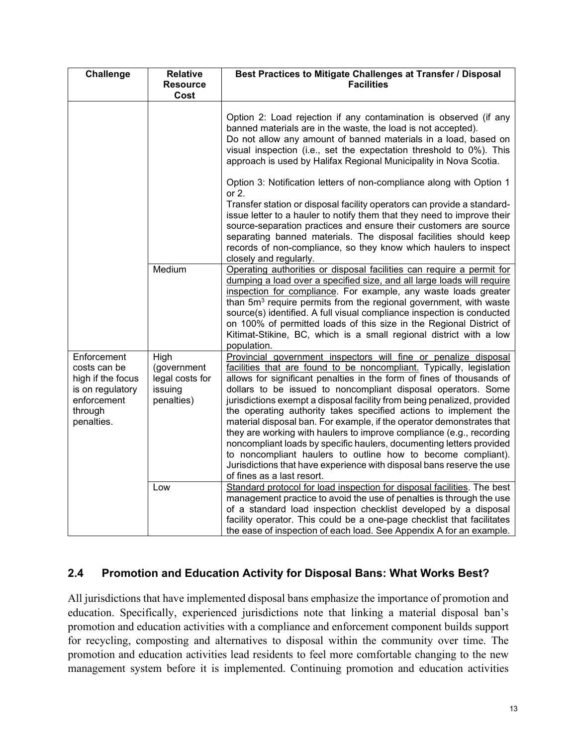| <b>Challenge</b>                                                                                             | <b>Relative</b><br><b>Resource</b><br>Cost                      | Best Practices to Mitigate Challenges at Transfer / Disposal<br><b>Facilities</b>                                                                                                                                                                                                                                                                                                                                                                                                                                                                                                                                                                                                                                                                                                                                                |  |  |  |
|--------------------------------------------------------------------------------------------------------------|-----------------------------------------------------------------|----------------------------------------------------------------------------------------------------------------------------------------------------------------------------------------------------------------------------------------------------------------------------------------------------------------------------------------------------------------------------------------------------------------------------------------------------------------------------------------------------------------------------------------------------------------------------------------------------------------------------------------------------------------------------------------------------------------------------------------------------------------------------------------------------------------------------------|--|--|--|
|                                                                                                              |                                                                 | Option 2: Load rejection if any contamination is observed (if any<br>banned materials are in the waste, the load is not accepted).<br>Do not allow any amount of banned materials in a load, based on<br>visual inspection (i.e., set the expectation threshold to 0%). This<br>approach is used by Halifax Regional Municipality in Nova Scotia.                                                                                                                                                                                                                                                                                                                                                                                                                                                                                |  |  |  |
|                                                                                                              |                                                                 | Option 3: Notification letters of non-compliance along with Option 1<br>or $2$ .<br>Transfer station or disposal facility operators can provide a standard-<br>issue letter to a hauler to notify them that they need to improve their<br>source-separation practices and ensure their customers are source<br>separating banned materials. The disposal facilities should keep<br>records of non-compliance, so they know which haulers to inspect<br>closely and regularly.                                                                                                                                                                                                                                                                                                                                                    |  |  |  |
|                                                                                                              | Medium                                                          | Operating authorities or disposal facilities can require a permit for<br>dumping a load over a specified size, and all large loads will require<br>inspection for compliance. For example, any waste loads greater<br>than 5m <sup>3</sup> require permits from the regional government, with waste<br>source(s) identified. A full visual compliance inspection is conducted<br>on 100% of permitted loads of this size in the Regional District of<br>Kitimat-Stikine, BC, which is a small regional district with a low<br>population.                                                                                                                                                                                                                                                                                        |  |  |  |
| Enforcement<br>costs can be<br>high if the focus<br>is on regulatory<br>enforcement<br>through<br>penalties. | High<br>(government<br>legal costs for<br>issuing<br>penalties) | Provincial government inspectors will fine or penalize disposal<br>facilities that are found to be noncompliant. Typically, legislation<br>allows for significant penalties in the form of fines of thousands of<br>dollars to be issued to noncompliant disposal operators. Some<br>jurisdictions exempt a disposal facility from being penalized, provided<br>the operating authority takes specified actions to implement the<br>material disposal ban. For example, if the operator demonstrates that<br>they are working with haulers to improve compliance (e.g., recording<br>noncompliant loads by specific haulers, documenting letters provided<br>to noncompliant haulers to outline how to become compliant).<br>Jurisdictions that have experience with disposal bans reserve the use<br>of fines as a last resort. |  |  |  |
|                                                                                                              | Low                                                             | Standard protocol for load inspection for disposal facilities. The best<br>management practice to avoid the use of penalties is through the use<br>of a standard load inspection checklist developed by a disposal<br>facility operator. This could be a one-page checklist that facilitates<br>the ease of inspection of each load. See Appendix A for an example.                                                                                                                                                                                                                                                                                                                                                                                                                                                              |  |  |  |

#### <span id="page-18-0"></span>**2.4 Promotion and Education Activity for Disposal Bans: What Works Best?**

All jurisdictions that have implemented disposal bans emphasize the importance of promotion and education. Specifically, experienced jurisdictions note that linking a material disposal ban's promotion and education activities with a compliance and enforcement component builds support for recycling, composting and alternatives to disposal within the community over time. The promotion and education activities lead residents to feel more comfortable changing to the new management system before it is implemented. Continuing promotion and education activities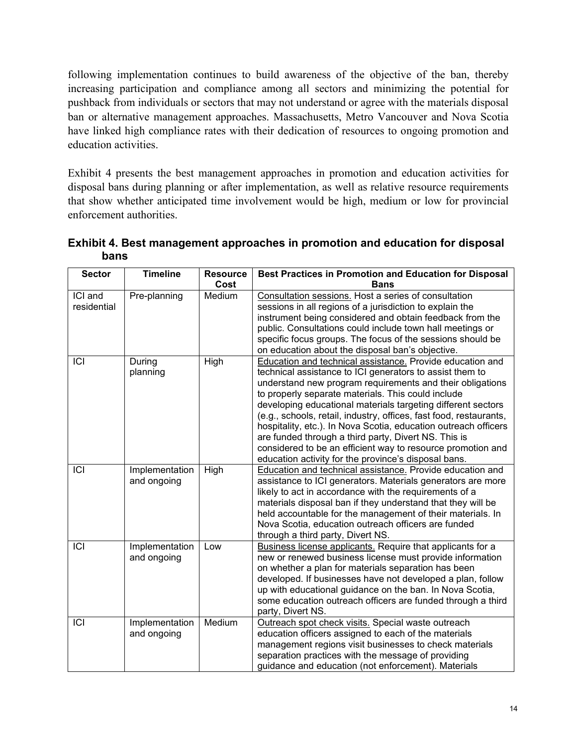following implementation continues to build awareness of the objective of the ban, thereby increasing participation and compliance among all sectors and minimizing the potential for pushback from individuals or sectors that may not understand or agree with the materials disposal ban or alternative management approaches. Massachusetts, Metro Vancouver and Nova Scotia have linked high compliance rates with their dedication of resources to ongoing promotion and education activities.

Exhibit 4 presents the best management approaches in promotion and education activities for disposal bans during planning or after implementation, as well as relative resource requirements that show whether anticipated time involvement would be high, medium or low for provincial enforcement authorities.

| <b>Sector</b>          | <b>Timeline</b>               | <b>Resource</b> | Best Practices in Promotion and Education for Disposal                                                                                                                                                                                                                                                                                                                                                                                                                                                                                                                                                                           |
|------------------------|-------------------------------|-----------------|----------------------------------------------------------------------------------------------------------------------------------------------------------------------------------------------------------------------------------------------------------------------------------------------------------------------------------------------------------------------------------------------------------------------------------------------------------------------------------------------------------------------------------------------------------------------------------------------------------------------------------|
|                        |                               | Cost            | <b>Bans</b>                                                                                                                                                                                                                                                                                                                                                                                                                                                                                                                                                                                                                      |
| ICI and<br>residential | Pre-planning                  | Medium          | Consultation sessions. Host a series of consultation<br>sessions in all regions of a jurisdiction to explain the<br>instrument being considered and obtain feedback from the<br>public. Consultations could include town hall meetings or<br>specific focus groups. The focus of the sessions should be<br>on education about the disposal ban's objective.                                                                                                                                                                                                                                                                      |
| ICI                    | During<br>planning            | High            | Education and technical assistance. Provide education and<br>technical assistance to ICI generators to assist them to<br>understand new program requirements and their obligations<br>to properly separate materials. This could include<br>developing educational materials targeting different sectors<br>(e.g., schools, retail, industry, offices, fast food, restaurants,<br>hospitality, etc.). In Nova Scotia, education outreach officers<br>are funded through a third party, Divert NS. This is<br>considered to be an efficient way to resource promotion and<br>education activity for the province's disposal bans. |
| ICI                    | Implementation<br>and ongoing | High            | Education and technical assistance. Provide education and<br>assistance to ICI generators. Materials generators are more<br>likely to act in accordance with the requirements of a<br>materials disposal ban if they understand that they will be<br>held accountable for the management of their materials. In<br>Nova Scotia, education outreach officers are funded<br>through a third party, Divert NS.                                                                                                                                                                                                                      |
| ICI                    | Implementation<br>and ongoing | Low             | Business license applicants. Require that applicants for a<br>new or renewed business license must provide information<br>on whether a plan for materials separation has been<br>developed. If businesses have not developed a plan, follow<br>up with educational guidance on the ban. In Nova Scotia,<br>some education outreach officers are funded through a third<br>party, Divert NS.                                                                                                                                                                                                                                      |
| $\overline{ICI}$       | Implementation<br>and ongoing | Medium          | Outreach spot check visits. Special waste outreach<br>education officers assigned to each of the materials<br>management regions visit businesses to check materials<br>separation practices with the message of providing<br>guidance and education (not enforcement). Materials                                                                                                                                                                                                                                                                                                                                                |

**Exhibit 4. Best management approaches in promotion and education for disposal bans**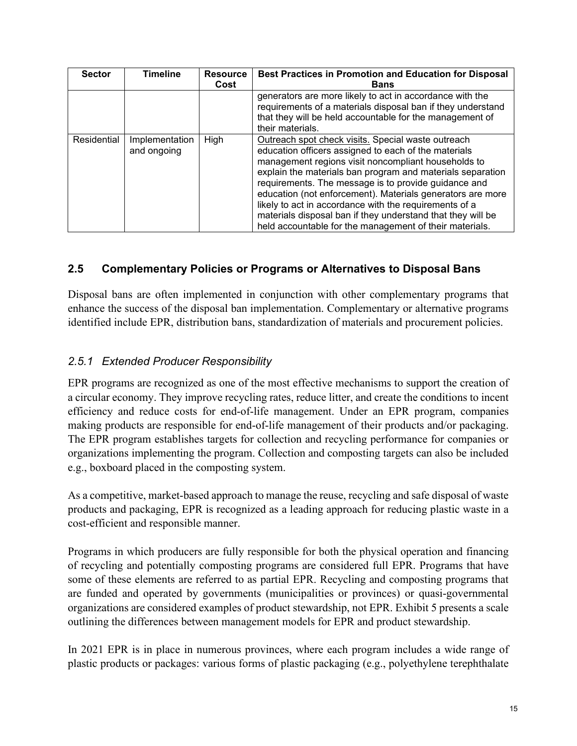| <b>Sector</b> | <b>Timeline</b>               | <b>Resource</b><br>Cost | Best Practices in Promotion and Education for Disposal<br><b>Bans</b>                                                                                                                                                                                                                                                                                                                                                                                                                                                                     |
|---------------|-------------------------------|-------------------------|-------------------------------------------------------------------------------------------------------------------------------------------------------------------------------------------------------------------------------------------------------------------------------------------------------------------------------------------------------------------------------------------------------------------------------------------------------------------------------------------------------------------------------------------|
|               |                               |                         | generators are more likely to act in accordance with the<br>requirements of a materials disposal ban if they understand<br>that they will be held accountable for the management of<br>their materials.                                                                                                                                                                                                                                                                                                                                   |
| Residential   | Implementation<br>and ongoing | High                    | Outreach spot check visits. Special waste outreach<br>education officers assigned to each of the materials<br>management regions visit noncompliant households to<br>explain the materials ban program and materials separation<br>requirements. The message is to provide guidance and<br>education (not enforcement). Materials generators are more<br>likely to act in accordance with the requirements of a<br>materials disposal ban if they understand that they will be<br>held accountable for the management of their materials. |

#### <span id="page-20-0"></span>**2.5 Complementary Policies or Programs or Alternatives to Disposal Bans**

Disposal bans are often implemented in conjunction with other complementary programs that enhance the success of the disposal ban implementation. Complementary or alternative programs identified include EPR, distribution bans, standardization of materials and procurement policies.

### <span id="page-20-1"></span>*2.5.1 Extended Producer Responsibility*

EPR programs are recognized as one of the most effective mechanisms to support the creation of a circular economy. They improve recycling rates, reduce litter, and create the conditions to incent efficiency and reduce costs for end-of-life management. Under an EPR program, companies making products are responsible for end-of-life management of their products and/or packaging. The EPR program establishes targets for collection and recycling performance for companies or organizations implementing the program. Collection and composting targets can also be included e.g., boxboard placed in the composting system.

As a competitive, market-based approach to manage the reuse, recycling and safe disposal of waste products and packaging, EPR is recognized as a leading approach for reducing plastic waste in a cost-efficient and responsible manner.

Programs in which producers are fully responsible for both the physical operation and financing of recycling and potentially composting programs are considered full EPR. Programs that have some of these elements are referred to as partial EPR. Recycling and composting programs that are funded and operated by governments (municipalities or provinces) or quasi-governmental organizations are considered examples of product stewardship, not EPR. Exhibit 5 presents a scale outlining the differences between management models for EPR and product stewardship.

In 2021 EPR is in place in numerous provinces, where each program includes a wide range of plastic products or packages: various forms of plastic packaging (e.g., polyethylene terephthalate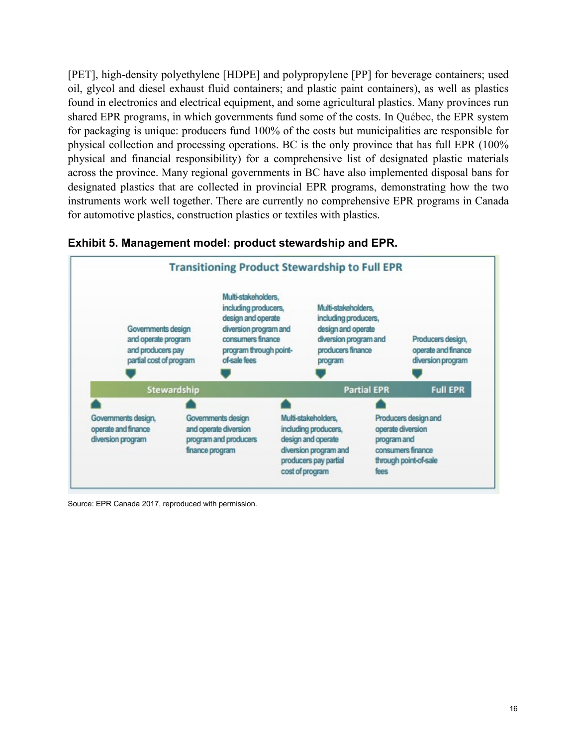[PET], high-density polyethylene [HDPE] and polypropylene [PP] for beverage containers; used oil, glycol and diesel exhaust fluid containers; and plastic paint containers), as well as plastics found in electronics and electrical equipment, and some agricultural plastics. Many provinces run shared EPR programs, in which governments fund some of the costs. In Québec, the EPR system for packaging is unique: producers fund 100% of the costs but municipalities are responsible for physical collection and processing operations. BC is the only province that has full EPR (100% physical and financial responsibility) for a comprehensive list of designated plastic materials across the province. Many regional governments in BC have also implemented disposal bans for designated plastics that are collected in provincial EPR programs, demonstrating how the two instruments work well together. There are currently no comprehensive EPR programs in Canada for automotive plastics, construction plastics or textiles with plastics.



#### **Exhibit 5. Management model: product stewardship and EPR.**

Source: EPR Canada 2017, reproduced with permission.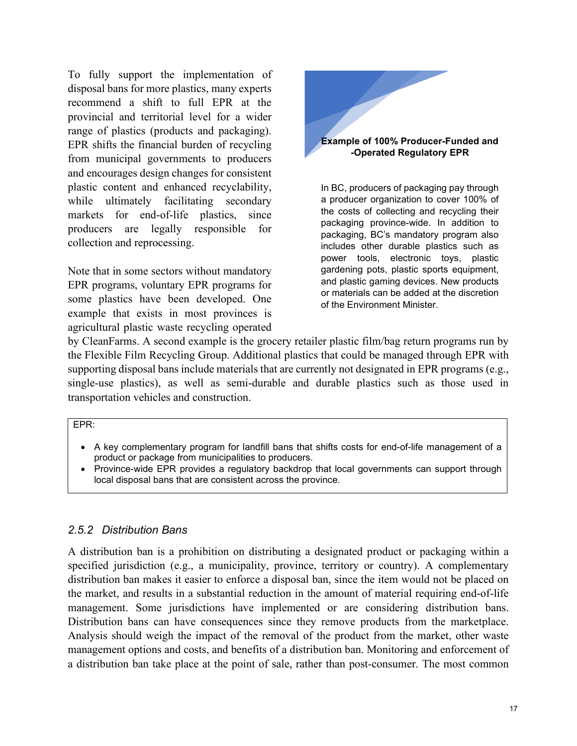To fully support the implementation of disposal bans for more plastics, many experts recommend a shift to full EPR at the provincial and territorial level for a wider range of plastics (products and packaging). EPR shifts the financial burden of recycling from municipal governments to producers and encourages design changes for consistent plastic content and enhanced recyclability, while ultimately facilitating secondary markets for end-of-life plastics, since producers are legally responsible for collection and reprocessing.

Note that in some sectors without mandatory EPR programs, voluntary EPR programs for some plastics have been developed. One example that exists in most provinces is agricultural plastic waste recycling operated

**Example of 100% Producer-Funded and -Operated Regulatory EPR**

In BC, producers of packaging pay through a producer organization to cover 100% of the costs of collecting and recycling their packaging province-wide. In addition to packaging, BC's mandatory program also includes other durable plastics such as power tools, electronic toys, plastic gardening pots, plastic sports equipment, and plastic gaming devices. New products or materials can be added at the discretion of the Environment Minister.

by CleanFarms. A second example is the grocery retailer plastic film/bag return programs run by the Flexible Film Recycling Group. Additional plastics that could be managed through EPR with supporting disposal bans include materials that are currently not designated in EPR programs (e.g., single-use plastics), as well as semi-durable and durable plastics such as those used in transportation vehicles and construction.

#### EPR:

- A key complementary program for landfill bans that shifts costs for end-of-life management of a product or package from municipalities to producers.
- Province-wide EPR provides a regulatory backdrop that local governments can support through local disposal bans that are consistent across the province.

#### <span id="page-22-0"></span>*2.5.2 Distribution Bans*

A distribution ban is a prohibition on distributing a designated product or packaging within a specified jurisdiction (e.g., a municipality, province, territory or country). A complementary distribution ban makes it easier to enforce a disposal ban, since the item would not be placed on the market, and results in a substantial reduction in the amount of material requiring end-of-life management. Some jurisdictions have implemented or are considering distribution bans. Distribution bans can have consequences since they remove products from the marketplace. Analysis should weigh the impact of the removal of the product from the market, other waste management options and costs, and benefits of a distribution ban. Monitoring and enforcement of a distribution ban take place at the point of sale, rather than post-consumer. The most common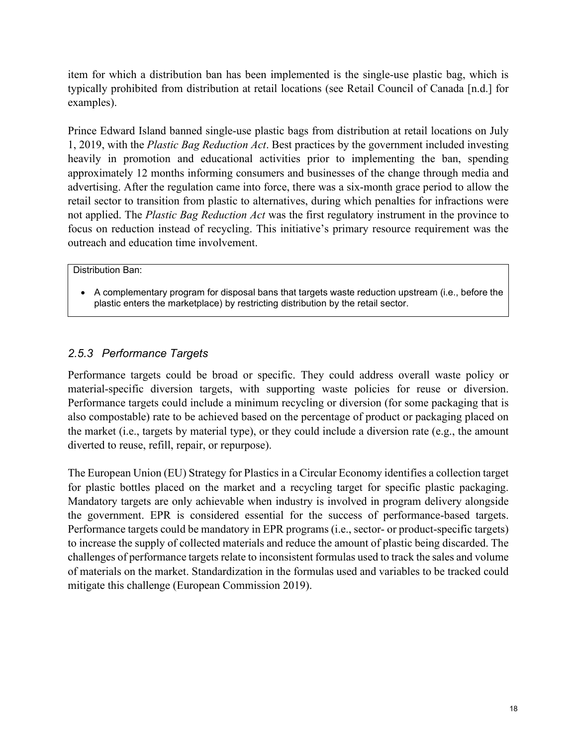item for which a distribution ban has been implemented is the single-use plastic bag, which is typically prohibited from distribution at retail locations (see Retail Council of Canada [n.d.] for examples).

Prince Edward Island banned single-use plastic bags from distribution at retail locations on July 1, 2019, with the *Plastic Bag Reduction Act*. Best practices by the government included investing heavily in promotion and educational activities prior to implementing the ban, spending approximately 12 months informing consumers and businesses of the change through media and advertising. After the regulation came into force, there was a six-month grace period to allow the retail sector to transition from plastic to alternatives, during which penalties for infractions were not applied. The *Plastic Bag Reduction Act* was the first regulatory instrument in the province to focus on reduction instead of recycling. This initiative's primary resource requirement was the outreach and education time involvement.

#### Distribution Ban:

• A complementary program for disposal bans that targets waste reduction upstream (i.e., before the plastic enters the marketplace) by restricting distribution by the retail sector.

#### <span id="page-23-0"></span>*2.5.3 Performance Targets*

Performance targets could be broad or specific. They could address overall waste policy or material-specific diversion targets, with supporting waste policies for reuse or diversion. Performance targets could include a minimum recycling or diversion (for some packaging that is also compostable) rate to be achieved based on the percentage of product or packaging placed on the market (i.e., targets by material type), or they could include a diversion rate (e.g., the amount diverted to reuse, refill, repair, or repurpose).

The European Union (EU) Strategy for Plastics in a Circular Economy identifies a collection target for plastic bottles placed on the market and a recycling target for specific plastic packaging. Mandatory targets are only achievable when industry is involved in program delivery alongside the government. EPR is considered essential for the success of performance-based targets. Performance targets could be mandatory in EPR programs (i.e., sector- or product-specific targets) to increase the supply of collected materials and reduce the amount of plastic being discarded. The challenges of performance targets relate to inconsistent formulas used to track the sales and volume of materials on the market. Standardization in the formulas used and variables to be tracked could mitigate this challenge (European Commission 2019).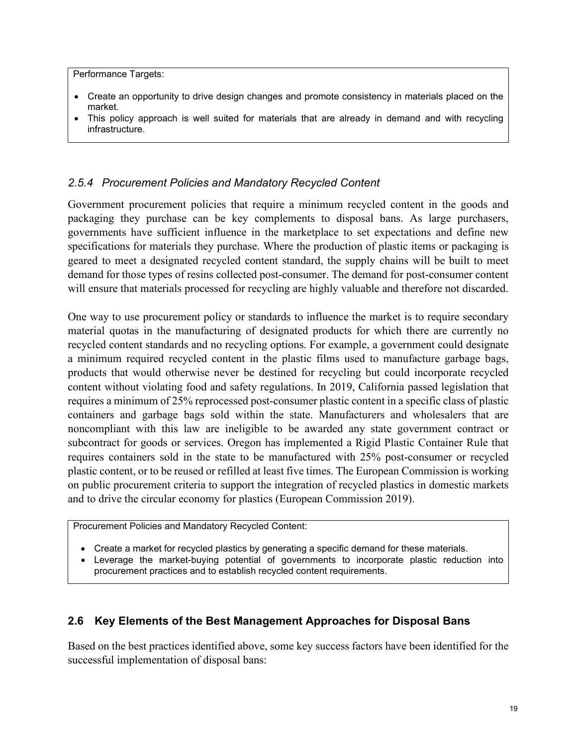Performance Targets:

- Create an opportunity to drive design changes and promote consistency in materials placed on the market.
- This policy approach is well suited for materials that are already in demand and with recycling infrastructure.

#### <span id="page-24-0"></span>*2.5.4 Procurement Policies and Mandatory Recycled Content*

Government procurement policies that require a minimum recycled content in the goods and packaging they purchase can be key complements to disposal bans. As large purchasers, governments have sufficient influence in the marketplace to set expectations and define new specifications for materials they purchase. Where the production of plastic items or packaging is geared to meet a designated recycled content standard, the supply chains will be built to meet demand for those types of resins collected post-consumer. The demand for post-consumer content will ensure that materials processed for recycling are highly valuable and therefore not discarded.

One way to use procurement policy or standards to influence the market is to require secondary material quotas in the manufacturing of designated products for which there are currently no recycled content standards and no recycling options. For example, a government could designate a minimum required recycled content in the plastic films used to manufacture garbage bags, products that would otherwise never be destined for recycling but could incorporate recycled content without violating food and safety regulations. In 2019, California passed legislation that requires a minimum of 25% reprocessed post-consumer plastic content in a specific class of plastic containers and garbage bags sold within the state. Manufacturers and wholesalers that are noncompliant with this law are ineligible to be awarded any state government contract or subcontract for goods or services. Oregon has implemented a Rigid Plastic Container Rule that requires containers sold in the state to be manufactured with 25% post-consumer or recycled plastic content, or to be reused or refilled at least five times. The European Commission is working on public procurement criteria to support the integration of recycled plastics in domestic markets and to drive the circular economy for plastics (European Commission 2019).

Procurement Policies and Mandatory Recycled Content:

- Create a market for recycled plastics by generating a specific demand for these materials.
- Leverage the market-buying potential of governments to incorporate plastic reduction into procurement practices and to establish recycled content requirements.

#### <span id="page-24-1"></span>**2.6 Key Elements of the Best Management Approaches for Disposal Bans**

Based on the best practices identified above, some key success factors have been identified for the successful implementation of disposal bans: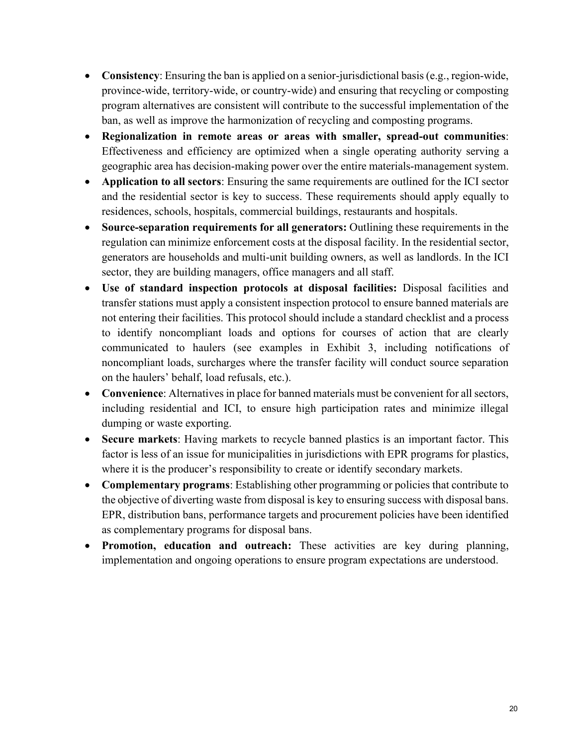- **Consistency**: Ensuring the ban is applied on a senior-jurisdictional basis (e.g., region-wide, province-wide, territory-wide, or country-wide) and ensuring that recycling or composting program alternatives are consistent will contribute to the successful implementation of the ban, as well as improve the harmonization of recycling and composting programs.
- **Regionalization in remote areas or areas with smaller, spread-out communities**: Effectiveness and efficiency are optimized when a single operating authority serving a geographic area has decision-making power over the entire materials-management system.
- **Application to all sectors**: Ensuring the same requirements are outlined for the ICI sector and the residential sector is key to success. These requirements should apply equally to residences, schools, hospitals, commercial buildings, restaurants and hospitals.
- **Source-separation requirements for all generators:** Outlining these requirements in the regulation can minimize enforcement costs at the disposal facility. In the residential sector, generators are households and multi-unit building owners, as well as landlords. In the ICI sector, they are building managers, office managers and all staff.
- **Use of standard inspection protocols at disposal facilities:** Disposal facilities and transfer stations must apply a consistent inspection protocol to ensure banned materials are not entering their facilities. This protocol should include a standard checklist and a process to identify noncompliant loads and options for courses of action that are clearly communicated to haulers (see examples in Exhibit 3, including notifications of noncompliant loads, surcharges where the transfer facility will conduct source separation on the haulers' behalf, load refusals, etc.).
- **Convenience**: Alternatives in place for banned materials must be convenient for all sectors, including residential and ICI, to ensure high participation rates and minimize illegal dumping or waste exporting.
- **Secure markets**: Having markets to recycle banned plastics is an important factor. This factor is less of an issue for municipalities in jurisdictions with EPR programs for plastics, where it is the producer's responsibility to create or identify secondary markets.
- **Complementary programs**: Establishing other programming or policies that contribute to the objective of diverting waste from disposal is key to ensuring success with disposal bans. EPR, distribution bans, performance targets and procurement policies have been identified as complementary programs for disposal bans.
- **Promotion, education and outreach:** These activities are key during planning, implementation and ongoing operations to ensure program expectations are understood.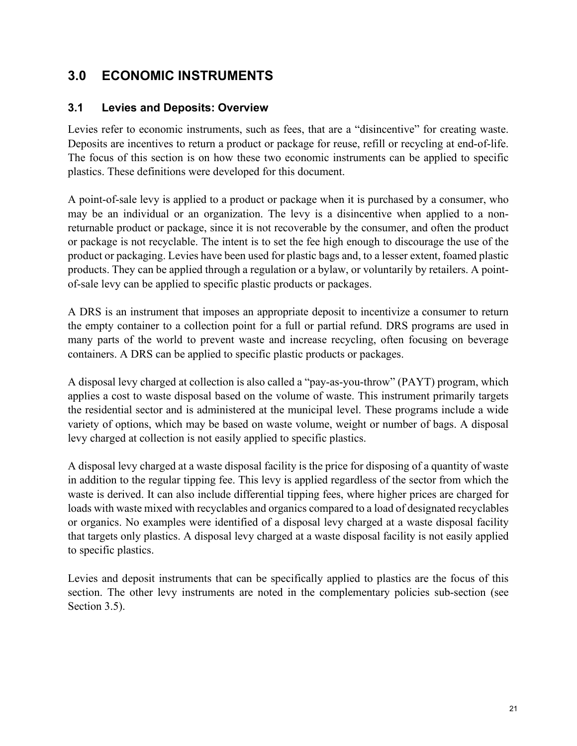## <span id="page-26-0"></span>**3.0 ECONOMIC INSTRUMENTS**

#### <span id="page-26-1"></span>**3.1 Levies and Deposits: Overview**

Levies refer to economic instruments, such as fees, that are a "disincentive" for creating waste. Deposits are incentives to return a product or package for reuse, refill or recycling at end-of-life. The focus of this section is on how these two economic instruments can be applied to specific plastics. These definitions were developed for this document.

A point-of-sale levy is applied to a product or package when it is purchased by a consumer, who may be an individual or an organization. The levy is a disincentive when applied to a nonreturnable product or package, since it is not recoverable by the consumer, and often the product or package is not recyclable. The intent is to set the fee high enough to discourage the use of the product or packaging. Levies have been used for plastic bags and, to a lesser extent, foamed plastic products. They can be applied through a regulation or a bylaw, or voluntarily by retailers. A pointof-sale levy can be applied to specific plastic products or packages.

A DRS is an instrument that imposes an appropriate deposit to incentivize a consumer to return the empty container to a collection point for a full or partial refund. DRS programs are used in many parts of the world to prevent waste and increase recycling, often focusing on beverage containers. A DRS can be applied to specific plastic products or packages.

A disposal levy charged at collection is also called a "pay-as-you-throw" (PAYT) program, which applies a cost to waste disposal based on the volume of waste. This instrument primarily targets the residential sector and is administered at the municipal level. These programs include a wide variety of options, which may be based on waste volume, weight or number of bags. A disposal levy charged at collection is not easily applied to specific plastics.

A disposal levy charged at a waste disposal facility is the price for disposing of a quantity of waste in addition to the regular tipping fee. This levy is applied regardless of the sector from which the waste is derived. It can also include differential tipping fees, where higher prices are charged for loads with waste mixed with recyclables and organics compared to a load of designated recyclables or organics. No examples were identified of a disposal levy charged at a waste disposal facility that targets only plastics. A disposal levy charged at a waste disposal facility is not easily applied to specific plastics.

Levies and deposit instruments that can be specifically applied to plastics are the focus of this section. The other levy instruments are noted in the complementary policies sub-section (see Section 3.5).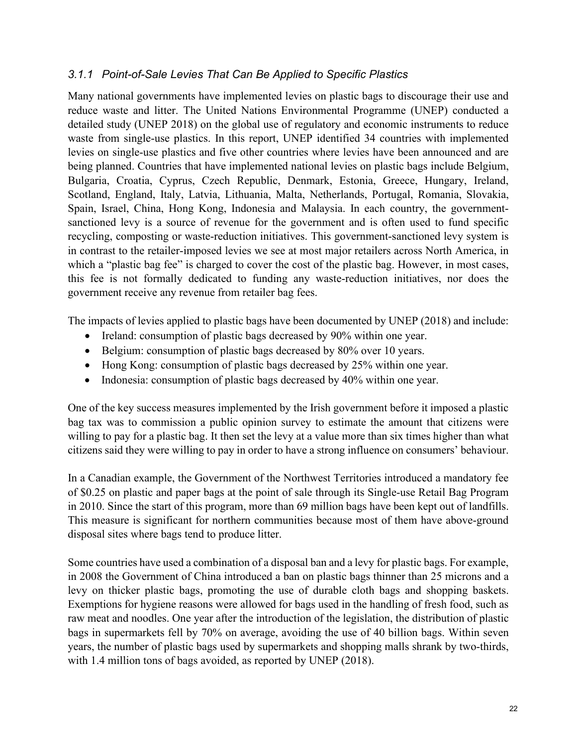#### <span id="page-27-0"></span>*3.1.1 Point-of-Sale Levies That Can Be Applied to Specific Plastics*

Many national governments have implemented levies on plastic bags to discourage their use and reduce waste and litter. The United Nations Environmental Programme (UNEP) conducted a detailed study (UNEP 2018) on the global use of regulatory and economic instruments to reduce waste from single-use plastics. In this report, UNEP identified 34 countries with implemented levies on single-use plastics and five other countries where levies have been announced and are being planned. Countries that have implemented national levies on plastic bags include Belgium, Bulgaria, Croatia, Cyprus, Czech Republic, Denmark, Estonia, Greece, Hungary, Ireland, Scotland, England, Italy, Latvia, Lithuania, Malta, Netherlands, Portugal, Romania, Slovakia, Spain, Israel, China, Hong Kong, Indonesia and Malaysia. In each country, the governmentsanctioned levy is a source of revenue for the government and is often used to fund specific recycling, composting or waste-reduction initiatives. This government-sanctioned levy system is in contrast to the retailer-imposed levies we see at most major retailers across North America, in which a "plastic bag fee" is charged to cover the cost of the plastic bag. However, in most cases, this fee is not formally dedicated to funding any waste-reduction initiatives, nor does the government receive any revenue from retailer bag fees.

The impacts of levies applied to plastic bags have been documented by UNEP (2018) and include:

- Ireland: consumption of plastic bags decreased by 90% within one year.
- Belgium: consumption of plastic bags decreased by 80% over 10 years.
- Hong Kong: consumption of plastic bags decreased by 25% within one year.
- Indonesia: consumption of plastic bags decreased by 40% within one year.

One of the key success measures implemented by the Irish government before it imposed a plastic bag tax was to commission a public opinion survey to estimate the amount that citizens were willing to pay for a plastic bag. It then set the levy at a value more than six times higher than what citizens said they were willing to pay in order to have a strong influence on consumers' behaviour.

In a Canadian example, the Government of the Northwest Territories introduced a mandatory fee of \$0.25 on plastic and paper bags at the point of sale through its Single-use Retail Bag Program in 2010. Since the start of this program, more than 69 million bags have been kept out of landfills. This measure is significant for northern communities because most of them have above-ground disposal sites where bags tend to produce litter.

Some countries have used a combination of a disposal ban and a levy for plastic bags. For example, in 2008 the Government of China introduced a ban on plastic bags thinner than 25 microns and a levy on thicker plastic bags, promoting the use of durable cloth bags and shopping baskets. Exemptions for hygiene reasons were allowed for bags used in the handling of fresh food, such as raw meat and noodles. One year after the introduction of the legislation, the distribution of plastic bags in supermarkets fell by 70% on average, avoiding the use of 40 billion bags. Within seven years, the number of plastic bags used by supermarkets and shopping malls shrank by two-thirds, with 1.4 million tons of bags avoided, as reported by UNEP (2018).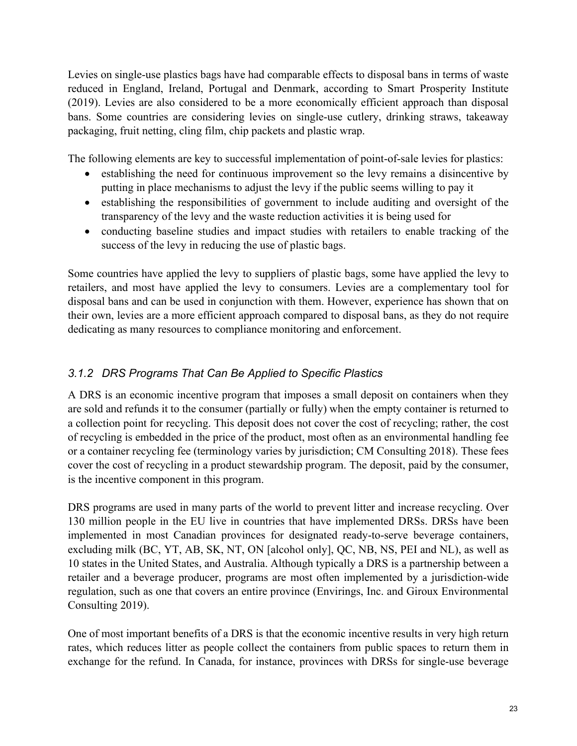Levies on single-use plastics bags have had comparable effects to disposal bans in terms of waste reduced in England, Ireland, Portugal and Denmark, according to Smart Prosperity Institute (2019). Levies are also considered to be a more economically efficient approach than disposal bans. Some countries are considering levies on single-use cutlery, drinking straws, takeaway packaging, fruit netting, cling film, chip packets and plastic wrap.

The following elements are key to successful implementation of point-of-sale levies for plastics:

- establishing the need for continuous improvement so the levy remains a disincentive by putting in place mechanisms to adjust the levy if the public seems willing to pay it
- establishing the responsibilities of government to include auditing and oversight of the transparency of the levy and the waste reduction activities it is being used for
- conducting baseline studies and impact studies with retailers to enable tracking of the success of the levy in reducing the use of plastic bags.

Some countries have applied the levy to suppliers of plastic bags, some have applied the levy to retailers, and most have applied the levy to consumers. Levies are a complementary tool for disposal bans and can be used in conjunction with them. However, experience has shown that on their own, levies are a more efficient approach compared to disposal bans, as they do not require dedicating as many resources to compliance monitoring and enforcement.

### <span id="page-28-0"></span>*3.1.2 DRS Programs That Can Be Applied to Specific Plastics*

A DRS is an economic incentive program that imposes a small deposit on containers when they are sold and refunds it to the consumer (partially or fully) when the empty container is returned to a collection point for recycling. This deposit does not cover the cost of recycling; rather, the cost of recycling is embedded in the price of the product, most often as an environmental handling fee or a container recycling fee (terminology varies by jurisdiction; CM Consulting 2018). These fees cover the cost of recycling in a product stewardship program. The deposit, paid by the consumer, is the incentive component in this program.

DRS programs are used in many parts of the world to prevent litter and increase recycling. Over 130 million people in the EU live in countries that have implemented DRSs. DRSs have been implemented in most Canadian provinces for designated ready-to-serve beverage containers, excluding milk (BC, YT, AB, SK, NT, ON [alcohol only], QC, NB, NS, PEI and NL), as well as 10 states in the United States, and Australia. Although typically a DRS is a partnership between a retailer and a beverage producer, programs are most often implemented by a jurisdiction-wide regulation, such as one that covers an entire province (Envirings, Inc. and Giroux Environmental Consulting 2019).

One of most important benefits of a DRS is that the economic incentive results in very high return rates, which reduces litter as people collect the containers from public spaces to return them in exchange for the refund. In Canada, for instance, provinces with DRSs for single-use beverage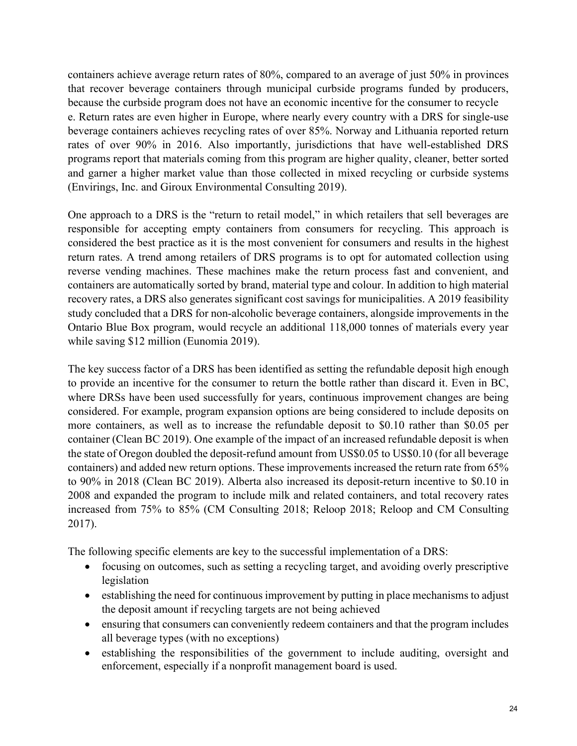containers achieve average return rates of 80%, compared to an average of just 50% in provinces that recover beverage containers through municipal curbside programs funded by producers, because the curbside program does not have an economic incentive for the consumer to recycle e. Return rates are even higher in Europe, where nearly every country with a DRS for single-use beverage containers achieves recycling rates of over 85%. Norway and Lithuania reported return rates of over 90% in 2016. Also importantly, jurisdictions that have well-established DRS programs report that materials coming from this program are higher quality, cleaner, better sorted and garner a higher market value than those collected in mixed recycling or curbside systems (Envirings, Inc. and Giroux Environmental Consulting 2019).

One approach to a DRS is the "return to retail model," in which retailers that sell beverages are responsible for accepting empty containers from consumers for recycling. This approach is considered the best practice as it is the most convenient for consumers and results in the highest return rates. A trend among retailers of DRS programs is to opt for automated collection using reverse vending machines. These machines make the return process fast and convenient, and containers are automatically sorted by brand, material type and colour. In addition to high material recovery rates, a DRS also generates significant cost savings for municipalities. A 2019 feasibility study concluded that a DRS for non-alcoholic beverage containers, alongside improvements in the Ontario Blue Box program, would recycle an additional 118,000 tonnes of materials every year while saving \$12 million (Eunomia 2019).

The key success factor of a DRS has been identified as setting the refundable deposit high enough to provide an incentive for the consumer to return the bottle rather than discard it. Even in BC, where DRSs have been used successfully for years, continuous improvement changes are being considered. For example, program expansion options are being considered to include deposits on more containers, as well as to increase the refundable deposit to \$0.10 rather than \$0.05 per container (Clean BC 2019). One example of the impact of an increased refundable deposit is when the state of Oregon doubled the deposit-refund amount from US\$0.05 to US\$0.10 (for all beverage containers) and added new return options. These improvements increased the return rate from 65% to 90% in 2018 (Clean BC 2019). Alberta also increased its deposit-return incentive to \$0.10 in 2008 and expanded the program to include milk and related containers, and total recovery rates increased from 75% to 85% (CM Consulting 2018; Reloop 2018; Reloop and CM Consulting 2017).

The following specific elements are key to the successful implementation of a DRS:

- focusing on outcomes, such as setting a recycling target, and avoiding overly prescriptive legislation
- establishing the need for continuous improvement by putting in place mechanisms to adjust the deposit amount if recycling targets are not being achieved
- ensuring that consumers can conveniently redeem containers and that the program includes all beverage types (with no exceptions)
- establishing the responsibilities of the government to include auditing, oversight and enforcement, especially if a nonprofit management board is used.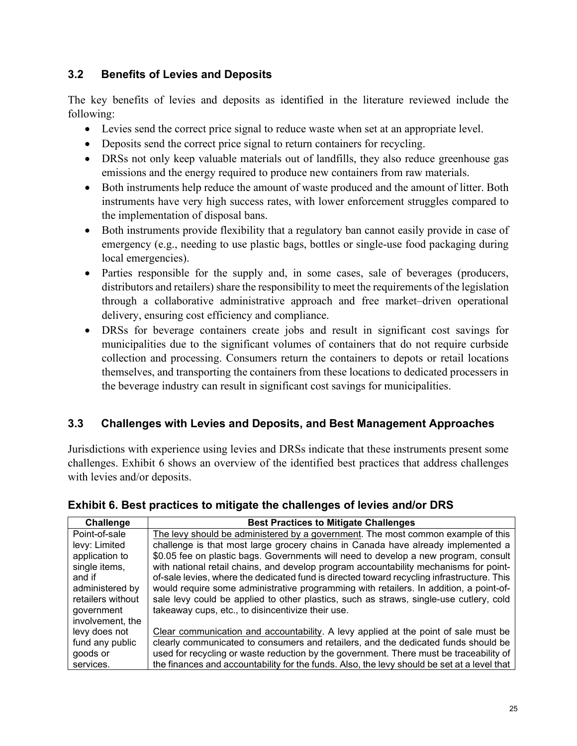### <span id="page-30-0"></span>**3.2 Benefits of Levies and Deposits**

The key benefits of levies and deposits as identified in the literature reviewed include the following:

- Levies send the correct price signal to reduce waste when set at an appropriate level.
- Deposits send the correct price signal to return containers for recycling.
- DRSs not only keep valuable materials out of landfills, they also reduce greenhouse gas emissions and the energy required to produce new containers from raw materials.
- Both instruments help reduce the amount of waste produced and the amount of litter. Both instruments have very high success rates, with lower enforcement struggles compared to the implementation of disposal bans.
- Both instruments provide flexibility that a regulatory ban cannot easily provide in case of emergency (e.g., needing to use plastic bags, bottles or single-use food packaging during local emergencies).
- Parties responsible for the supply and, in some cases, sale of beverages (producers, distributors and retailers) share the responsibility to meet the requirements of the legislation through a collaborative administrative approach and free market–driven operational delivery, ensuring cost efficiency and compliance.
- DRSs for beverage containers create jobs and result in significant cost savings for municipalities due to the significant volumes of containers that do not require curbside collection and processing. Consumers return the containers to depots or retail locations themselves, and transporting the containers from these locations to dedicated processers in the beverage industry can result in significant cost savings for municipalities.

## <span id="page-30-1"></span>**3.3 Challenges with Levies and Deposits, and Best Management Approaches**

Jurisdictions with experience using levies and DRSs indicate that these instruments present some challenges. Exhibit 6 shows an overview of the identified best practices that address challenges with levies and/or deposits.

| Challenge         | <b>Best Practices to Mitigate Challenges</b>                                                |
|-------------------|---------------------------------------------------------------------------------------------|
| Point-of-sale     | The levy should be administered by a government. The most common example of this            |
| levy: Limited     | challenge is that most large grocery chains in Canada have already implemented a            |
| application to    | \$0.05 fee on plastic bags. Governments will need to develop a new program, consult         |
| single items,     | with national retail chains, and develop program accountability mechanisms for point-       |
| and if            | of-sale levies, where the dedicated fund is directed toward recycling infrastructure. This  |
| administered by   | would require some administrative programming with retailers. In addition, a point-of-      |
| retailers without | sale levy could be applied to other plastics, such as straws, single-use cutlery, cold      |
| government        | takeaway cups, etc., to disincentivize their use.                                           |
| involvement, the  |                                                                                             |
| levy does not     | Clear communication and accountability. A levy applied at the point of sale must be         |
| fund any public   | clearly communicated to consumers and retailers, and the dedicated funds should be          |
| goods or          | used for recycling or waste reduction by the government. There must be traceability of      |
| services.         | the finances and accountability for the funds. Also, the levy should be set at a level that |

#### **Exhibit 6. Best practices to mitigate the challenges of levies and/or DRS**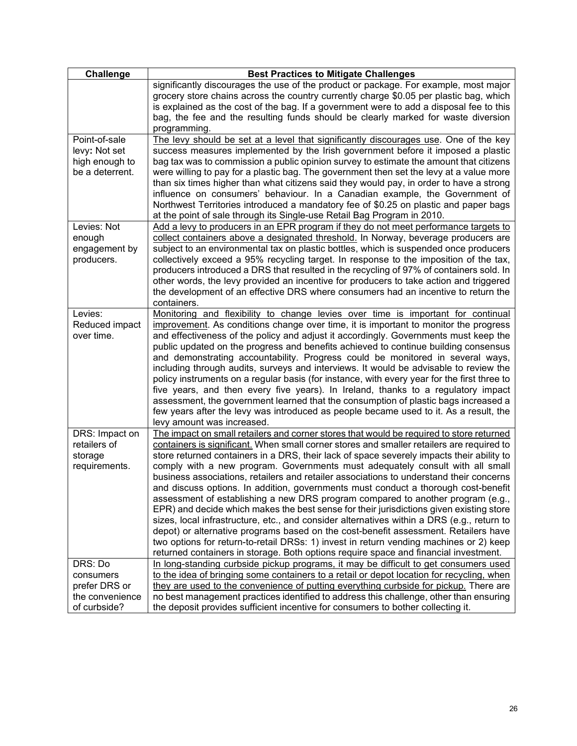| Challenge                                                                | <b>Best Practices to Mitigate Challenges</b>                                                                                                                                                                                                                                                                                                                                                                                                                                                                                                                                                                                                                                                                                                                                                                                                                                                                                                                                                                                                                                                              |  |  |  |
|--------------------------------------------------------------------------|-----------------------------------------------------------------------------------------------------------------------------------------------------------------------------------------------------------------------------------------------------------------------------------------------------------------------------------------------------------------------------------------------------------------------------------------------------------------------------------------------------------------------------------------------------------------------------------------------------------------------------------------------------------------------------------------------------------------------------------------------------------------------------------------------------------------------------------------------------------------------------------------------------------------------------------------------------------------------------------------------------------------------------------------------------------------------------------------------------------|--|--|--|
|                                                                          | significantly discourages the use of the product or package. For example, most major<br>grocery store chains across the country currently charge \$0.05 per plastic bag, which<br>is explained as the cost of the bag. If a government were to add a disposal fee to this<br>bag, the fee and the resulting funds should be clearly marked for waste diversion<br>programming.                                                                                                                                                                                                                                                                                                                                                                                                                                                                                                                                                                                                                                                                                                                            |  |  |  |
| Point-of-sale<br>levy: Not set<br>high enough to<br>be a deterrent.      | The levy should be set at a level that significantly discourages use. One of the key<br>success measures implemented by the Irish government before it imposed a plastic<br>bag tax was to commission a public opinion survey to estimate the amount that citizens<br>were willing to pay for a plastic bag. The government then set the levy at a value more<br>than six times higher than what citizens said they would pay, in order to have a strong<br>influence on consumers' behaviour. In a Canadian example, the Government of<br>Northwest Territories introduced a mandatory fee of \$0.25 on plastic and paper bags<br>at the point of sale through its Single-use Retail Bag Program in 2010.                                                                                                                                                                                                                                                                                                                                                                                                |  |  |  |
| Levies: Not<br>enough<br>engagement by<br>producers.                     | Add a levy to producers in an EPR program if they do not meet performance targets to<br>collect containers above a designated threshold. In Norway, beverage producers are<br>subject to an environmental tax on plastic bottles, which is suspended once producers<br>collectively exceed a 95% recycling target. In response to the imposition of the tax,<br>producers introduced a DRS that resulted in the recycling of 97% of containers sold. In<br>other words, the levy provided an incentive for producers to take action and triggered<br>the development of an effective DRS where consumers had an incentive to return the<br>containers.                                                                                                                                                                                                                                                                                                                                                                                                                                                    |  |  |  |
| Levies:<br>Reduced impact<br>over time.                                  | Monitoring and flexibility to change levies over time is important for continual<br>improvement. As conditions change over time, it is important to monitor the progress<br>and effectiveness of the policy and adjust it accordingly. Governments must keep the<br>public updated on the progress and benefits achieved to continue building consensus<br>and demonstrating accountability. Progress could be monitored in several ways,<br>including through audits, surveys and interviews. It would be advisable to review the<br>policy instruments on a regular basis (for instance, with every year for the first three to<br>five years, and then every five years). In Ireland, thanks to a regulatory impact<br>assessment, the government learned that the consumption of plastic bags increased a<br>few years after the levy was introduced as people became used to it. As a result, the<br>levy amount was increased.                                                                                                                                                                      |  |  |  |
| DRS: Impact on<br>retailers of<br>storage<br>requirements.               | The impact on small retailers and corner stores that would be required to store returned<br>containers is significant. When small corner stores and smaller retailers are required to<br>store returned containers in a DRS, their lack of space severely impacts their ability to<br>comply with a new program. Governments must adequately consult with all small<br>business associations, retailers and retailer associations to understand their concerns<br>and discuss options. In addition, governments must conduct a thorough cost-benefit<br>assessment of establishing a new DRS program compared to another program (e.g.,<br>EPR) and decide which makes the best sense for their jurisdictions given existing store<br>sizes, local infrastructure, etc., and consider alternatives within a DRS (e.g., return to<br>depot) or alternative programs based on the cost-benefit assessment. Retailers have<br>two options for return-to-retail DRSs: 1) invest in return vending machines or 2) keep<br>returned containers in storage. Both options require space and financial investment. |  |  |  |
| DRS: Do<br>consumers<br>prefer DRS or<br>the convenience<br>of curbside? | In long-standing curbside pickup programs, it may be difficult to get consumers used<br>to the idea of bringing some containers to a retail or depot location for recycling, when<br>they are used to the convenience of putting everything curbside for pickup. There are<br>no best management practices identified to address this challenge, other than ensuring<br>the deposit provides sufficient incentive for consumers to bother collecting it.                                                                                                                                                                                                                                                                                                                                                                                                                                                                                                                                                                                                                                                  |  |  |  |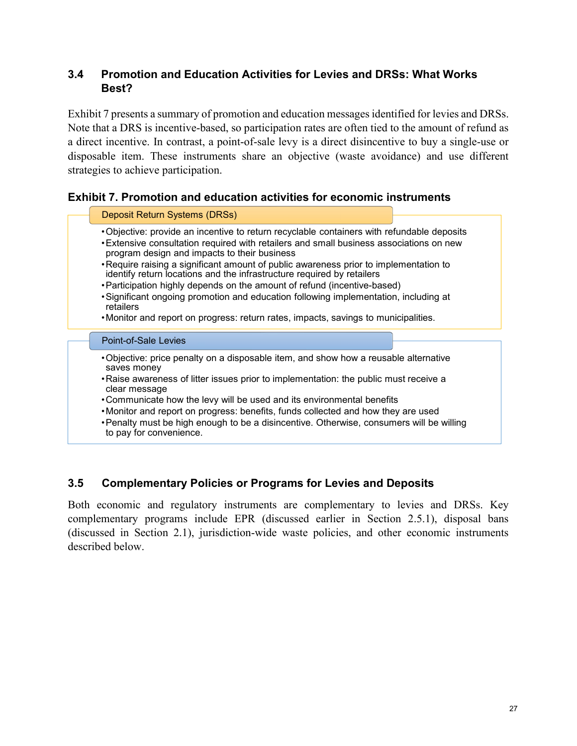#### <span id="page-32-0"></span>**3.4 Promotion and Education Activities for Levies and DRSs: What Works Best?**

Exhibit 7 presents a summary of promotion and education messages identified for levies and DRSs. Note that a DRS is incentive-based, so participation rates are often tied to the amount of refund as a direct incentive. In contrast, a point-of-sale levy is a direct disincentive to buy a single-use or disposable item. These instruments share an objective (waste avoidance) and use different strategies to achieve participation.

#### **Exhibit 7. Promotion and education activities for economic instruments**

#### Deposit Return Systems (DRSs)

- •Objective: provide an incentive to return recyclable containers with refundable deposits
- •Extensive consultation required with retailers and small business associations on new program design and impacts to their business
- •Require raising a significant amount of public awareness prior to implementation to identify return locations and the infrastructure required by retailers
- •Participation highly depends on the amount of refund (incentive-based)
- •Significant ongoing promotion and education following implementation, including at retailers
- •Monitor and report on progress: return rates, impacts, savings to municipalities.

#### Point-of-Sale Levies

- •Objective: price penalty on a disposable item, and show how a reusable alternative saves money
- •Raise awareness of litter issues prior to implementation: the public must receive a clear message
- •Communicate how the levy will be used and its environmental benefits
- •Monitor and report on progress: benefits, funds collected and how they are used

•Penalty must be high enough to be a disincentive. Otherwise, consumers will be willing to pay for convenience.

#### <span id="page-32-1"></span>**3.5 Complementary Policies or Programs for Levies and Deposits**

Both economic and regulatory instruments are complementary to levies and DRSs. Key complementary programs include EPR (discussed earlier in Section 2.5.1), disposal bans (discussed in Section 2.1), jurisdiction-wide waste policies, and other economic instruments described below.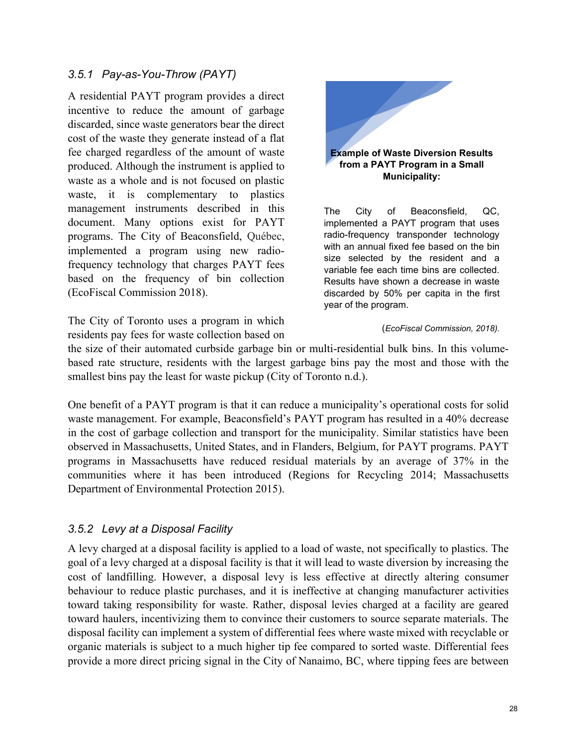#### <span id="page-33-0"></span>*3.5.1 Pay-as-You-Throw (PAYT)*

A residential PAYT program provides a direct incentive to reduce the amount of garbage discarded, since waste generators bear the direct cost of the waste they generate instead of a flat fee charged regardless of the amount of waste produced. Although the instrument is applied to waste as a whole and is not focused on plastic waste, it is complementary to plastics management instruments described in this document. Many options exist for PAYT programs. The City of Beaconsfield, Québec, implemented a program using new radiofrequency technology that charges PAYT fees based on the frequency of bin collection (EcoFiscal Commission 2018).

The City of Toronto uses a program in which residents pay fees for waste collection based on



## **from a PAYT Program in a Small Municipality:**

The City of Beaconsfield, QC, implemented a PAYT program that uses radio-frequency transponder technology with an annual fixed fee based on the bin size selected by the resident and a variable fee each time bins are collected. Results have shown a decrease in waste discarded by 50% per capita in the first year of the program.

#### (*EcoFiscal Commission, 2018).*

the size of their automated curbside garbage bin or multi-residential bulk bins. In this volumebased rate structure, residents with the largest garbage bins pay the most and those with the smallest bins pay the least for waste pickup (City of Toronto n.d.).

One benefit of a PAYT program is that it can reduce a municipality's operational costs for solid waste management. For example, Beaconsfield's PAYT program has resulted in a 40% decrease in the cost of garbage collection and transport for the municipality. Similar statistics have been observed in Massachusetts, United States, and in Flanders, Belgium, for PAYT programs. PAYT programs in Massachusetts have reduced residual materials by an average of 37% in the communities where it has been introduced (Regions for Recycling 2014; Massachusetts Department of Environmental Protection 2015).

#### <span id="page-33-1"></span>*3.5.2 Levy at a Disposal Facility*

A levy charged at a disposal facility is applied to a load of waste, not specifically to plastics. The goal of a levy charged at a disposal facility is that it will lead to waste diversion by increasing the cost of landfilling. However, a disposal levy is less effective at directly altering consumer behaviour to reduce plastic purchases, and it is ineffective at changing manufacturer activities toward taking responsibility for waste. Rather, disposal levies charged at a facility are geared toward haulers, incentivizing them to convince their customers to source separate materials. The disposal facility can implement a system of differential fees where waste mixed with recyclable or organic materials is subject to a much higher tip fee compared to sorted waste. Differential fees provide a more direct pricing signal in the City of Nanaimo, BC, where tipping fees are between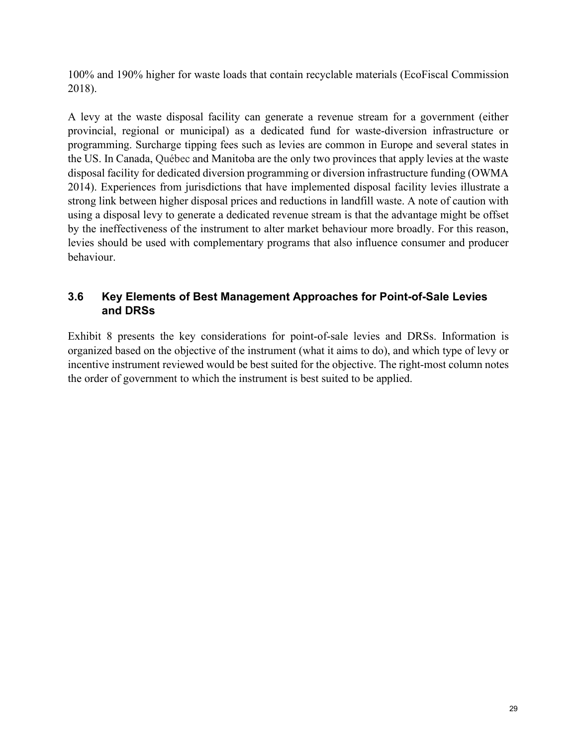100% and 190% higher for waste loads that contain recyclable materials (EcoFiscal Commission 2018).

A levy at the waste disposal facility can generate a revenue stream for a government (either provincial, regional or municipal) as a dedicated fund for waste-diversion infrastructure or programming. Surcharge tipping fees such as levies are common in Europe and several states in the US. In Canada, Québec and Manitoba are the only two provinces that apply levies at the waste disposal facility for dedicated diversion programming or diversion infrastructure funding (OWMA 2014). Experiences from jurisdictions that have implemented disposal facility levies illustrate a strong link between higher disposal prices and reductions in landfill waste. A note of caution with using a disposal levy to generate a dedicated revenue stream is that the advantage might be offset by the ineffectiveness of the instrument to alter market behaviour more broadly. For this reason, levies should be used with complementary programs that also influence consumer and producer behaviour.

### <span id="page-34-0"></span>**3.6 Key Elements of Best Management Approaches for Point-of-Sale Levies and DRSs**

Exhibit 8 presents the key considerations for point-of-sale levies and DRSs. Information is organized based on the objective of the instrument (what it aims to do), and which type of levy or incentive instrument reviewed would be best suited for the objective. The right-most column notes the order of government to which the instrument is best suited to be applied.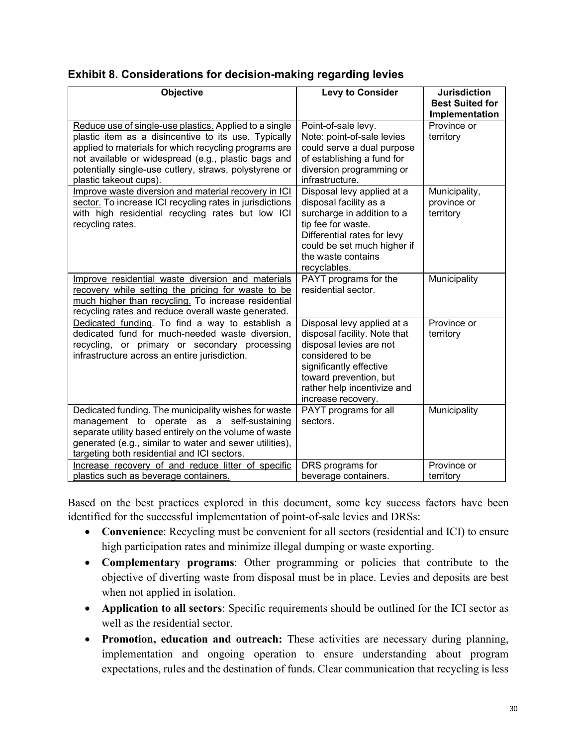| Objective                                                                                                                                                                                                                                                                                                          | <b>Levy to Consider</b>                                                                                                                                                                                             | <b>Jurisdiction</b>                       |
|--------------------------------------------------------------------------------------------------------------------------------------------------------------------------------------------------------------------------------------------------------------------------------------------------------------------|---------------------------------------------------------------------------------------------------------------------------------------------------------------------------------------------------------------------|-------------------------------------------|
|                                                                                                                                                                                                                                                                                                                    |                                                                                                                                                                                                                     | <b>Best Suited for</b><br>Implementation  |
| Reduce use of single-use plastics. Applied to a single<br>plastic item as a disincentive to its use. Typically<br>applied to materials for which recycling programs are<br>not available or widespread (e.g., plastic bags and<br>potentially single-use cutlery, straws, polystyrene or<br>plastic takeout cups). | Point-of-sale levy.<br>Note: point-of-sale levies<br>could serve a dual purpose<br>of establishing a fund for<br>diversion programming or<br>infrastructure.                                                        | Province or<br>territory                  |
| Improve waste diversion and material recovery in ICI<br>sector. To increase ICI recycling rates in jurisdictions<br>with high residential recycling rates but low ICI<br>recycling rates.                                                                                                                          | Disposal levy applied at a<br>disposal facility as a<br>surcharge in addition to a<br>tip fee for waste.<br>Differential rates for levy<br>could be set much higher if<br>the waste contains<br>recyclables.        | Municipality,<br>province or<br>territory |
| Improve residential waste diversion and materials<br>recovery while setting the pricing for waste to be<br>much higher than recycling. To increase residential<br>recycling rates and reduce overall waste generated.                                                                                              | PAYT programs for the<br>residential sector.                                                                                                                                                                        | Municipality                              |
| Dedicated funding. To find a way to establish a<br>dedicated fund for much-needed waste diversion,<br>recycling, or primary or secondary processing<br>infrastructure across an entire jurisdiction.                                                                                                               | Disposal levy applied at a<br>disposal facility. Note that<br>disposal levies are not<br>considered to be<br>significantly effective<br>toward prevention, but<br>rather help incentivize and<br>increase recovery. | Province or<br>territory                  |
| Dedicated funding. The municipality wishes for waste<br>management to operate as a self-sustaining<br>separate utility based entirely on the volume of waste<br>generated (e.g., similar to water and sewer utilities),<br>targeting both residential and ICI sectors.                                             | PAYT programs for all<br>sectors.                                                                                                                                                                                   | Municipality                              |
| Increase recovery of and reduce litter of specific<br>plastics such as beverage containers.                                                                                                                                                                                                                        | DRS programs for<br>beverage containers.                                                                                                                                                                            | Province or<br>territory                  |

Based on the best practices explored in this document, some key success factors have been identified for the successful implementation of point-of-sale levies and DRSs:

- **Convenience**: Recycling must be convenient for all sectors (residential and ICI) to ensure high participation rates and minimize illegal dumping or waste exporting.
- **Complementary programs**: Other programming or policies that contribute to the objective of diverting waste from disposal must be in place. Levies and deposits are best when not applied in isolation.
- **Application to all sectors**: Specific requirements should be outlined for the ICI sector as well as the residential sector.
- **Promotion, education and outreach:** These activities are necessary during planning, implementation and ongoing operation to ensure understanding about program expectations, rules and the destination of funds. Clear communication that recycling is less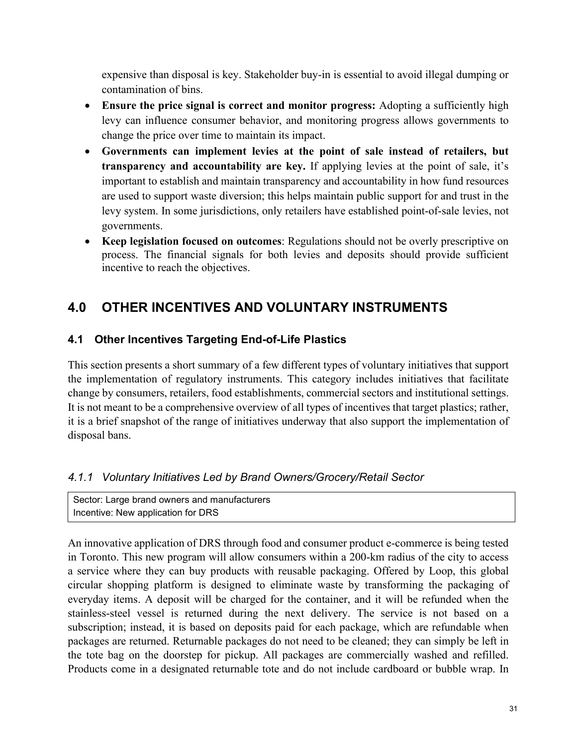expensive than disposal is key. Stakeholder buy-in is essential to avoid illegal dumping or contamination of bins.

- **Ensure the price signal is correct and monitor progress:** Adopting a sufficiently high levy can influence consumer behavior, and monitoring progress allows governments to change the price over time to maintain its impact.
- **Governments can implement levies at the point of sale instead of retailers, but transparency and accountability are key.** If applying levies at the point of sale, it's important to establish and maintain transparency and accountability in how fund resources are used to support waste diversion; this helps maintain public support for and trust in the levy system. In some jurisdictions, only retailers have established point-of-sale levies, not governments.
- **Keep legislation focused on outcomes**: Regulations should not be overly prescriptive on process. The financial signals for both levies and deposits should provide sufficient incentive to reach the objectives.

## <span id="page-36-0"></span>**4.0 OTHER INCENTIVES AND VOLUNTARY INSTRUMENTS**

## <span id="page-36-1"></span>**4.1 Other Incentives Targeting End-of-Life Plastics**

This section presents a short summary of a few different types of voluntary initiatives that support the implementation of regulatory instruments. This category includes initiatives that facilitate change by consumers, retailers, food establishments, commercial sectors and institutional settings. It is not meant to be a comprehensive overview of all types of incentives that target plastics; rather, it is a brief snapshot of the range of initiatives underway that also support the implementation of disposal bans.

## <span id="page-36-2"></span>*4.1.1 Voluntary Initiatives Led by Brand Owners/Grocery/Retail Sector*

Sector: Large brand owners and manufacturers Incentive: New application for DRS

An innovative application of DRS through food and consumer product e-commerce is being tested in Toronto. This new program will allow consumers within a 200-km radius of the city to access a service where they can buy products with reusable packaging. Offered by Loop, this global circular shopping platform is designed to eliminate waste by transforming the packaging of everyday items. A deposit will be charged for the container, and it will be refunded when the stainless-steel vessel is returned during the next delivery. The service is not based on a subscription; instead, it is based on deposits paid for each package, which are refundable when packages are returned. Returnable packages do not need to be cleaned; they can simply be left in the tote bag on the doorstep for pickup. All packages are commercially washed and refilled. Products come in a designated returnable tote and do not include cardboard or bubble wrap. In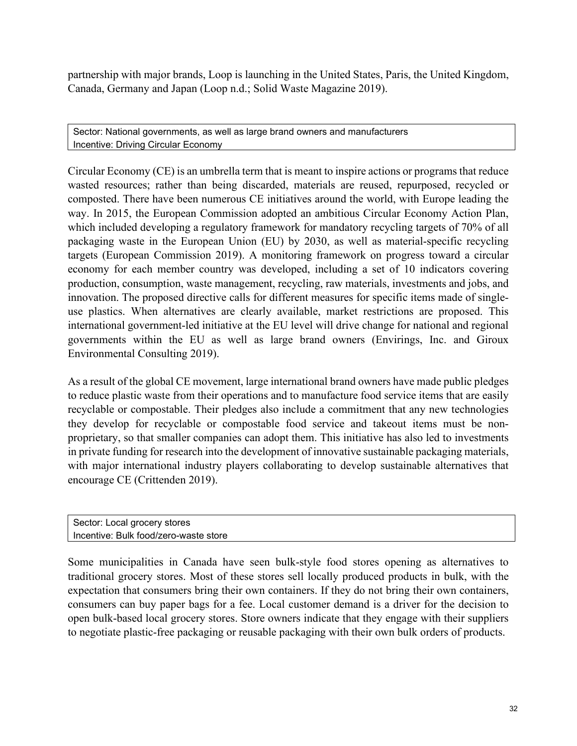partnership with major brands, Loop is launching in the United States, Paris, the United Kingdom, Canada, Germany and Japan (Loop n.d.; Solid Waste Magazine 2019).

Sector: National governments, as well as large brand owners and manufacturers Incentive: Driving Circular Economy

Circular Economy (CE) is an umbrella term that is meant to inspire actions or programs that reduce wasted resources; rather than being discarded, materials are reused, repurposed, recycled or composted. There have been numerous CE initiatives around the world, with Europe leading the way. In 2015, the European Commission adopted an ambitious Circular Economy Action Plan, which included developing a regulatory framework for mandatory recycling targets of 70% of all packaging waste in the European Union (EU) by 2030, as well as material-specific recycling targets (European Commission 2019). A monitoring framework on progress toward a circular economy for each member country was developed, including a set of 10 indicators covering production, consumption, waste management, recycling, raw materials, investments and jobs, and innovation. The proposed directive calls for different measures for specific items made of singleuse plastics. When alternatives are clearly available, market restrictions are proposed. This international government-led initiative at the EU level will drive change for national and regional governments within the EU as well as large brand owners (Envirings, Inc. and Giroux Environmental Consulting 2019).

As a result of the global CE movement, large international brand owners have made public pledges to reduce plastic waste from their operations and to manufacture food service items that are easily recyclable or compostable. Their pledges also include a commitment that any new technologies they develop for recyclable or compostable food service and takeout items must be nonproprietary, so that smaller companies can adopt them. This initiative has also led to investments in private funding for research into the development of innovative sustainable packaging materials, with major international industry players collaborating to develop sustainable alternatives that encourage CE (Crittenden 2019).

```
Sector: Local grocery stores
Incentive: Bulk food/zero-waste store
```
Some municipalities in Canada have seen bulk-style food stores opening as alternatives to traditional grocery stores. Most of these stores sell locally produced products in bulk, with the expectation that consumers bring their own containers. If they do not bring their own containers, consumers can buy paper bags for a fee. Local customer demand is a driver for the decision to open bulk-based local grocery stores. Store owners indicate that they engage with their suppliers to negotiate plastic-free packaging or reusable packaging with their own bulk orders of products.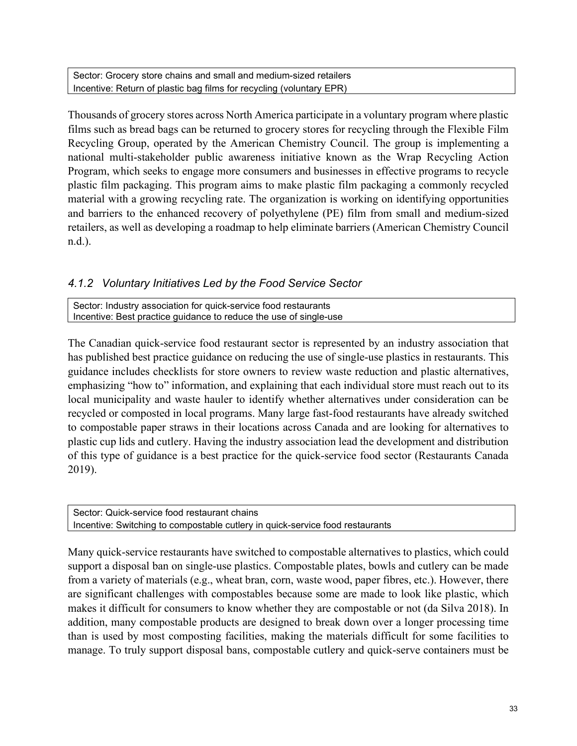Sector: Grocery store chains and small and medium-sized retailers Incentive: Return of plastic bag films for recycling (voluntary EPR)

Thousands of grocery stores across North America participate in a voluntary program where plastic films such as bread bags can be returned to grocery stores for recycling through the Flexible Film Recycling Group, operated by the American Chemistry Council. The group is implementing a national multi-stakeholder public awareness initiative known as the Wrap Recycling Action Program, which seeks to engage more consumers and businesses in effective programs to recycle plastic film packaging. This program aims to make plastic film packaging a commonly recycled material with a growing recycling rate. The organization is working on identifying opportunities and barriers to the enhanced recovery of polyethylene (PE) film from small and medium-sized retailers, as well as developing a roadmap to help eliminate barriers (American Chemistry Council n.d.).

#### <span id="page-38-0"></span>*4.1.2 Voluntary Initiatives Led by the Food Service Sector*

Sector: Industry association for quick-service food restaurants Incentive: Best practice guidance to reduce the use of single-use

The Canadian quick-service food restaurant sector is represented by an industry association that has published best practice guidance on reducing the use of single-use plastics in restaurants. This guidance includes checklists for store owners to review waste reduction and plastic alternatives, emphasizing "how to" information, and explaining that each individual store must reach out to its local municipality and waste hauler to identify whether alternatives under consideration can be recycled or composted in local programs. Many large fast-food restaurants have already switched to compostable paper straws in their locations across Canada and are looking for alternatives to plastic cup lids and cutlery. Having the industry association lead the development and distribution of this type of guidance is a best practice for the quick-service food sector (Restaurants Canada 2019).

Sector: Quick-service food restaurant chains Incentive: Switching to compostable cutlery in quick-service food restaurants

Many quick-service restaurants have switched to compostable alternatives to plastics, which could support a disposal ban on single-use plastics. Compostable plates, bowls and cutlery can be made from a variety of materials (e.g., wheat bran, corn, waste wood, paper fibres, etc.). However, there are significant challenges with compostables because some are made to look like plastic, which makes it difficult for consumers to know whether they are compostable or not (da Silva 2018). In addition, many compostable products are designed to break down over a longer processing time than is used by most composting facilities, making the materials difficult for some facilities to manage. To truly support disposal bans, compostable cutlery and quick-serve containers must be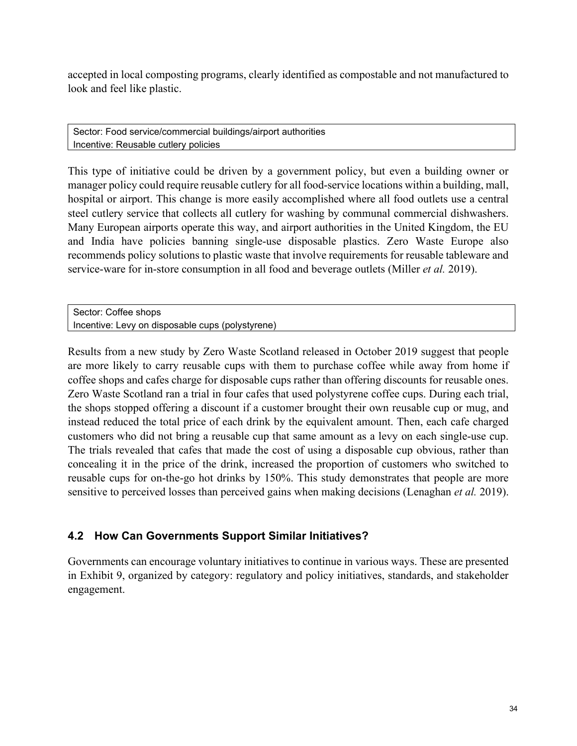accepted in local composting programs, clearly identified as compostable and not manufactured to look and feel like plastic.

Sector: Food service/commercial buildings/airport authorities Incentive: Reusable cutlery policies

This type of initiative could be driven by a government policy, but even a building owner or manager policy could require reusable cutlery for all food-service locations within a building, mall, hospital or airport. This change is more easily accomplished where all food outlets use a central steel cutlery service that collects all cutlery for washing by communal commercial dishwashers. Many European airports operate this way, and airport authorities in the United Kingdom, the EU and India have policies banning single-use disposable plastics. Zero Waste Europe also recommends policy solutions to plastic waste that involve requirements for reusable tableware and service-ware for in-store consumption in all food and beverage outlets (Miller *et al.* 2019).

Sector: Coffee shops Incentive: Levy on disposable cups (polystyrene)

Results from a new study by Zero Waste Scotland released in October 2019 suggest that people are more likely to carry reusable cups with them to purchase coffee while away from home if coffee shops and cafes charge for disposable cups rather than offering discounts for reusable ones. Zero Waste Scotland ran a trial in four cafes that used polystyrene coffee cups. During each trial, the shops stopped offering a discount if a customer brought their own reusable cup or mug, and instead reduced the total price of each drink by the equivalent amount. Then, each cafe charged customers who did not bring a reusable cup that same amount as a levy on each single-use cup. The trials revealed that cafes that made the cost of using a disposable cup obvious, rather than concealing it in the price of the drink, increased the proportion of customers who switched to reusable cups for on-the-go hot drinks by 150%. This study demonstrates that people are more sensitive to perceived losses than perceived gains when making decisions (Lenaghan *et al.* 2019).

## <span id="page-39-0"></span>**4.2 How Can Governments Support Similar Initiatives?**

Governments can encourage voluntary initiatives to continue in various ways. These are presented in Exhibit 9, organized by category: regulatory and policy initiatives, standards, and stakeholder engagement.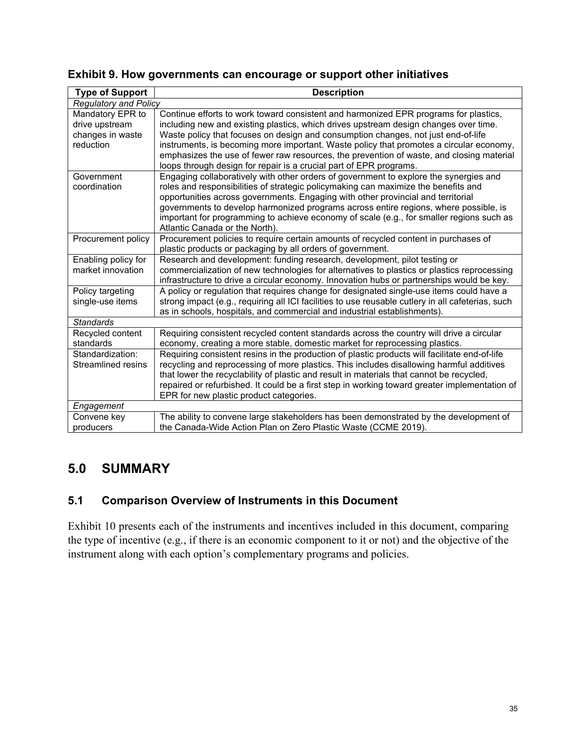| <b>Type of Support</b>                                              | <b>Description</b>                                                                                                                                                                                                                                                                                                                                                                                                                                                                                                             |
|---------------------------------------------------------------------|--------------------------------------------------------------------------------------------------------------------------------------------------------------------------------------------------------------------------------------------------------------------------------------------------------------------------------------------------------------------------------------------------------------------------------------------------------------------------------------------------------------------------------|
| <b>Regulatory and Policy</b>                                        |                                                                                                                                                                                                                                                                                                                                                                                                                                                                                                                                |
| Mandatory EPR to<br>drive upstream<br>changes in waste<br>reduction | Continue efforts to work toward consistent and harmonized EPR programs for plastics,<br>including new and existing plastics, which drives upstream design changes over time.<br>Waste policy that focuses on design and consumption changes, not just end-of-life<br>instruments, is becoming more important. Waste policy that promotes a circular economy,<br>emphasizes the use of fewer raw resources, the prevention of waste, and closing material<br>loops through design for repair is a crucial part of EPR programs. |
| Government<br>coordination                                          | Engaging collaboratively with other orders of government to explore the synergies and<br>roles and responsibilities of strategic policymaking can maximize the benefits and<br>opportunities across governments. Engaging with other provincial and territorial<br>governments to develop harmonized programs across entire regions, where possible, is<br>important for programming to achieve economy of scale (e.g., for smaller regions such as<br>Atlantic Canada or the North).                                          |
| Procurement policy                                                  | Procurement policies to require certain amounts of recycled content in purchases of<br>plastic products or packaging by all orders of government.                                                                                                                                                                                                                                                                                                                                                                              |
| Enabling policy for<br>market innovation                            | Research and development: funding research, development, pilot testing or<br>commercialization of new technologies for alternatives to plastics or plastics reprocessing<br>infrastructure to drive a circular economy. Innovation hubs or partnerships would be key.                                                                                                                                                                                                                                                          |
| Policy targeting<br>single-use items                                | A policy or regulation that requires change for designated single-use items could have a<br>strong impact (e.g., requiring all ICI facilities to use reusable cutlery in all cafeterias, such<br>as in schools, hospitals, and commercial and industrial establishments).                                                                                                                                                                                                                                                      |
| <b>Standards</b>                                                    |                                                                                                                                                                                                                                                                                                                                                                                                                                                                                                                                |
| Recycled content<br>standards                                       | Requiring consistent recycled content standards across the country will drive a circular<br>economy, creating a more stable, domestic market for reprocessing plastics.                                                                                                                                                                                                                                                                                                                                                        |
| Standardization:<br>Streamlined resins                              | Requiring consistent resins in the production of plastic products will facilitate end-of-life<br>recycling and reprocessing of more plastics. This includes disallowing harmful additives<br>that lower the recyclability of plastic and result in materials that cannot be recycled,<br>repaired or refurbished. It could be a first step in working toward greater implementation of<br>EPR for new plastic product categories.                                                                                              |
| Engagement                                                          |                                                                                                                                                                                                                                                                                                                                                                                                                                                                                                                                |
| Convene key<br>producers                                            | The ability to convene large stakeholders has been demonstrated by the development of<br>the Canada-Wide Action Plan on Zero Plastic Waste (CCME 2019).                                                                                                                                                                                                                                                                                                                                                                        |

### **Exhibit 9. How governments can encourage or support other initiatives**

## <span id="page-40-0"></span>**5.0 SUMMARY**

## <span id="page-40-1"></span>**5.1 Comparison Overview of Instruments in this Document**

Exhibit 10 presents each of the instruments and incentives included in this document, comparing the type of incentive (e.g., if there is an economic component to it or not) and the objective of the instrument along with each option's complementary programs and policies.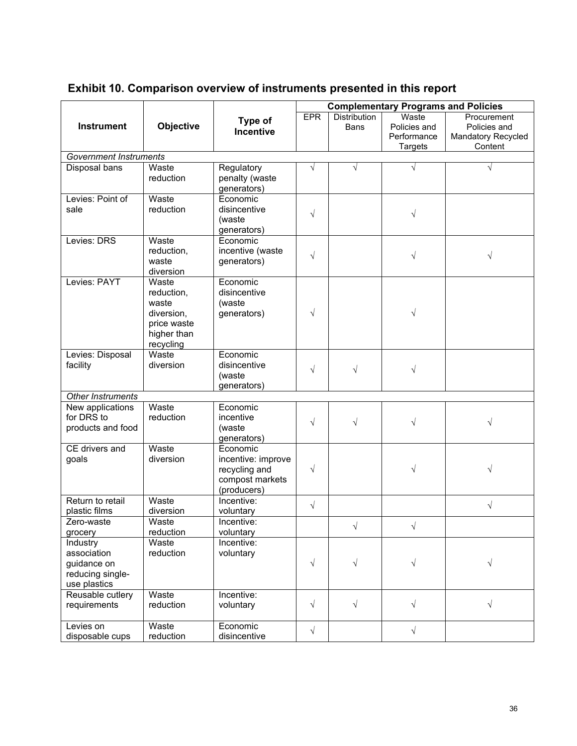<span id="page-41-0"></span>

|                                                                                                                                         |                                                   |                                                                                               | <b>Complementary Programs and Policies</b>          |                                        |                                                     |                                       |
|-----------------------------------------------------------------------------------------------------------------------------------------|---------------------------------------------------|-----------------------------------------------------------------------------------------------|-----------------------------------------------------|----------------------------------------|-----------------------------------------------------|---------------------------------------|
|                                                                                                                                         |                                                   |                                                                                               |                                                     |                                        |                                                     |                                       |
|                                                                                                                                         |                                                   | Type of                                                                                       | <b>EPR</b>                                          | <b>Distribution</b>                    | Waste                                               | Procurement                           |
| <b>Instrument</b>                                                                                                                       | Objective                                         | <b>Incentive</b>                                                                              |                                                     | <b>Bans</b>                            | Policies and                                        | Policies and                          |
|                                                                                                                                         |                                                   |                                                                                               |                                                     |                                        | Performance                                         | <b>Mandatory Recycled</b><br>Content  |
| <b>Government Instruments</b>                                                                                                           |                                                   |                                                                                               |                                                     |                                        | <b>Targets</b>                                      |                                       |
| Disposal bans                                                                                                                           | Waste                                             | Regulatory                                                                                    | $\sqrt{}$                                           | $\sqrt{}$                              | $\sqrt{ }$                                          | $\sqrt{}$                             |
|                                                                                                                                         | reduction                                         | penalty (waste                                                                                |                                                     |                                        |                                                     |                                       |
|                                                                                                                                         |                                                   | generators)                                                                                   |                                                     |                                        |                                                     |                                       |
| Levies: Point of                                                                                                                        | Waste                                             | Economic                                                                                      |                                                     |                                        |                                                     |                                       |
| sale                                                                                                                                    | reduction                                         | disincentive                                                                                  |                                                     |                                        |                                                     |                                       |
|                                                                                                                                         |                                                   | (waste                                                                                        | $\sqrt{}$                                           |                                        | $\sqrt{}$                                           |                                       |
|                                                                                                                                         |                                                   | generators)                                                                                   |                                                     |                                        |                                                     |                                       |
| Levies: DRS                                                                                                                             | Waste                                             | Economic                                                                                      |                                                     |                                        |                                                     |                                       |
|                                                                                                                                         | reduction,                                        | incentive (waste                                                                              |                                                     |                                        |                                                     |                                       |
|                                                                                                                                         | waste                                             | generators)                                                                                   | $\sqrt{}$                                           |                                        | $\sqrt{ }$                                          | $\sqrt{}$                             |
|                                                                                                                                         | diversion                                         |                                                                                               |                                                     |                                        |                                                     |                                       |
| Levies: PAYT                                                                                                                            | Waste                                             | Economic                                                                                      |                                                     |                                        |                                                     |                                       |
|                                                                                                                                         | reduction,                                        | disincentive                                                                                  |                                                     |                                        |                                                     |                                       |
|                                                                                                                                         | waste                                             | (waste                                                                                        |                                                     |                                        |                                                     |                                       |
|                                                                                                                                         | diversion,                                        | generators)                                                                                   | $\sqrt{}$                                           |                                        | $\sqrt{ }$                                          |                                       |
|                                                                                                                                         | price waste                                       |                                                                                               |                                                     |                                        |                                                     |                                       |
|                                                                                                                                         | higher than                                       |                                                                                               |                                                     |                                        |                                                     |                                       |
|                                                                                                                                         | recycling                                         |                                                                                               |                                                     |                                        |                                                     |                                       |
| Levies: Disposal                                                                                                                        | Waste                                             | Economic                                                                                      |                                                     |                                        |                                                     |                                       |
| facility                                                                                                                                | diversion                                         | disincentive                                                                                  | $\sqrt{}$                                           | $\sqrt{}$                              | $\sqrt{}$                                           |                                       |
|                                                                                                                                         |                                                   | (waste                                                                                        |                                                     |                                        |                                                     |                                       |
|                                                                                                                                         |                                                   | generators)                                                                                   |                                                     |                                        |                                                     |                                       |
| Other Instruments                                                                                                                       |                                                   |                                                                                               |                                                     |                                        |                                                     |                                       |
| New applications                                                                                                                        | Waste                                             | Economic                                                                                      |                                                     |                                        |                                                     |                                       |
| for DRS to                                                                                                                              | reduction                                         | incentive                                                                                     | $\sqrt{}$                                           | $\sqrt{}$                              | $\sqrt{}$                                           | $\sqrt{}$                             |
| products and food                                                                                                                       |                                                   | (waste                                                                                        |                                                     |                                        |                                                     |                                       |
|                                                                                                                                         | Waste                                             | generators)                                                                                   |                                                     |                                        |                                                     |                                       |
| CE drivers and                                                                                                                          | diversion                                         | Economic<br>incentive: improve                                                                |                                                     |                                        |                                                     |                                       |
| goals                                                                                                                                   |                                                   | recycling and                                                                                 | $\sqrt{}$                                           |                                        | $\sqrt{}$                                           | $\sqrt{ }$                            |
|                                                                                                                                         |                                                   | compost markets                                                                               |                                                     |                                        |                                                     |                                       |
|                                                                                                                                         |                                                   |                                                                                               |                                                     |                                        |                                                     |                                       |
|                                                                                                                                         |                                                   |                                                                                               |                                                     |                                        |                                                     |                                       |
| plastic films                                                                                                                           | diversion                                         |                                                                                               |                                                     |                                        |                                                     |                                       |
| Zero-waste                                                                                                                              | Waste                                             | Incentive:                                                                                    |                                                     |                                        |                                                     |                                       |
| grocery                                                                                                                                 | reduction                                         | voluntary                                                                                     |                                                     |                                        |                                                     |                                       |
| Industry                                                                                                                                | Waste                                             | Incentive:                                                                                    |                                                     |                                        |                                                     |                                       |
| association                                                                                                                             | reduction                                         | voluntary                                                                                     |                                                     |                                        |                                                     |                                       |
|                                                                                                                                         |                                                   |                                                                                               |                                                     |                                        |                                                     |                                       |
|                                                                                                                                         |                                                   |                                                                                               |                                                     |                                        |                                                     |                                       |
|                                                                                                                                         |                                                   |                                                                                               |                                                     |                                        |                                                     |                                       |
|                                                                                                                                         |                                                   |                                                                                               |                                                     |                                        |                                                     |                                       |
|                                                                                                                                         |                                                   |                                                                                               |                                                     |                                        |                                                     |                                       |
|                                                                                                                                         |                                                   |                                                                                               |                                                     |                                        |                                                     |                                       |
|                                                                                                                                         |                                                   |                                                                                               |                                                     |                                        |                                                     |                                       |
| Return to retail<br>guidance on<br>reducing single-<br>use plastics<br>Reusable cutlery<br>requirements<br>Levies on<br>disposable cups | Waste<br>Waste<br>reduction<br>Waste<br>reduction | (producers)<br>Incentive:<br>voluntary<br>Incentive:<br>voluntary<br>Economic<br>disincentive | $\sqrt{}$<br>$\sqrt{ }$<br>$\sqrt{ }$<br>$\sqrt{ }$ | $\sqrt{ }$<br>$\sqrt{ }$<br>$\sqrt{ }$ | $\sqrt{ }$<br>$\sqrt{}$<br>$\sqrt{ }$<br>$\sqrt{ }$ | $\sqrt{}$<br>$\sqrt{ }$<br>$\sqrt{ }$ |

## **Exhibit 10. Comparison overview of instruments presented in this report**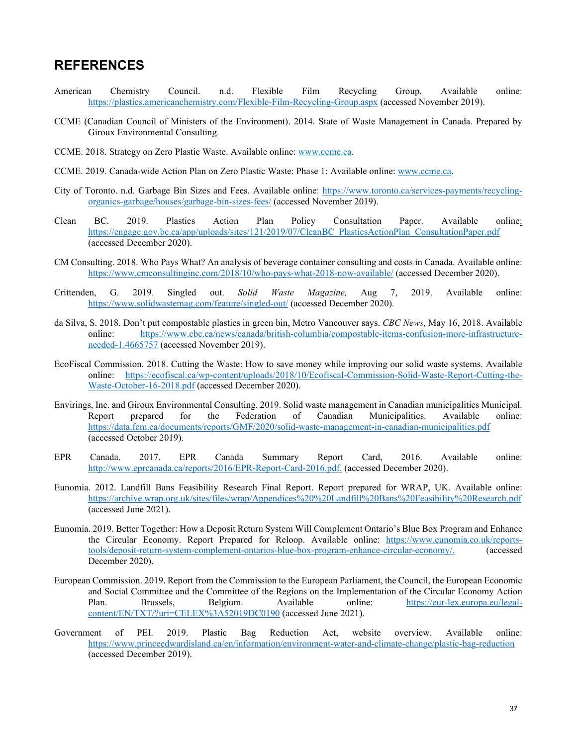### **REFERENCES**

- American Chemistry Council. n.d. Flexible Film Recycling Group. Available online: <https://plastics.americanchemistry.com/Flexible-Film-Recycling-Group.aspx> (accessed November 2019).
- CCME (Canadian Council of Ministers of the Environment). 2014. State of Waste Management in Canada. Prepared by Giroux Environmental Consulting.
- CCME. 2018. Strategy on Zero Plastic Waste. Available online: www.ccme.ca.
- CCME. 2019. Canada-wide Action Plan on Zero Plastic Waste: Phase 1: Available online: [www.ccme.ca.](http://www.ccme.ca/)
- City of Toronto. n.d. Garbage Bin Sizes and Fees. Available online: [https://www.toronto.ca/services-payments/recycling](https://www.toronto.ca/services-payments/recycling-organics-garbage/houses/garbage-bin-sizes-fees/)[organics-garbage/houses/garbage-bin-sizes-fees/](https://www.toronto.ca/services-payments/recycling-organics-garbage/houses/garbage-bin-sizes-fees/) (accessed November 2019).
- Clean BC. 2019. Plastics Action Plan Policy Consultation Paper. Available online: [https://engage.gov.bc.ca/app/uploads/sites/121/2019/07/CleanBC\\_PlasticsActionPlan\\_ConsultationPaper.pdf](https://engage.gov.bc.ca/app/uploads/sites/121/2019/07/CleanBC_PlasticsActionPlan_ConsultationPaper.pdf) (accessed December 2020).
- CM Consulting. 2018. Who Pays What? An analysis of beverage container consulting and costs in Canada. Available online: <https://www.cmconsultinginc.com/2018/10/who-pays-what-2018-now-available/> (accessed December 2020).
- Crittenden, G. 2019. Singled out. *Solid Waste Magazine,* Aug 7, 2019. Available online: <https://www.solidwastemag.com/feature/singled-out/> (accessed December 2020).
- da Silva, S. 2018. Don't put compostable plastics in green bin, Metro Vancouver says. *CBC News*, May 16, 2018. Available online: [https://www.cbc.ca/news/canada/british-columbia/compostable-items-confusion-more-infrastructure](https://www.cbc.ca/news/canada/british-columbia/compostable-items-confusion-more-infrastructure-needed-1.4665757)[needed-1.4665757](https://www.cbc.ca/news/canada/british-columbia/compostable-items-confusion-more-infrastructure-needed-1.4665757) (accessed November 2019).
- EcoFiscal Commission. 2018. Cutting the Waste: How to save money while improving our solid waste systems. Available online: [https://ecofiscal.ca/wp-content/uploads/2018/10/Ecofiscal-Commission-Solid-Waste-Report-Cutting-the-](https://ecofiscal.ca/wp-content/uploads/2018/10/Ecofiscal-Commission-Solid-Waste-Report-Cutting-the-Waste-October-16-2018.pdf)[Waste-October-16-2018.pdf](https://ecofiscal.ca/wp-content/uploads/2018/10/Ecofiscal-Commission-Solid-Waste-Report-Cutting-the-Waste-October-16-2018.pdf) (accessed December 2020).
- Envirings, Inc. and Giroux Environmental Consulting. 2019. Solid waste management in Canadian municipalities Municipal. Report prepared for the Federation of Canadian Municipalities. Available online: <https://data.fcm.ca/documents/reports/GMF/2020/solid-waste-management-in-canadian-municipalities.pdf> (accessed October 2019).
- EPR Canada. 2017. EPR Canada Summary Report Card, 2016. Available online: [http://www.eprcanada.ca/reports/2016/EPR-Report-Card-2016.pdf.](http://www.eprcanada.ca/reports/2016/EPR-Report-Card-2016.pdf) (accessed December 2020).
- Eunomia. 2012. Landfill Bans Feasibility Research Final Report. Report prepared for WRAP, UK. Available online: [https://archive.wrap.org.uk/sites/files/wrap/Appendices%20%20Landfill%20Bans%20Feasibility%20Research.pdf](https://archive.wrap.org.uk/sites/files/wrap/Appendices%20-%20Landfill%20Bans%20Feasibility%20Research.pdf) (accessed June 2021).
- Eunomia. 2019. Better Together: How a Deposit Return System Will Complement Ontario's Blue Box Program and Enhance the Circular Economy. Report Prepared for Reloop. Available online: [https://www.eunomia.co.uk/reports](https://www.eunomia.co.uk/reports-tools/deposit-return-system-complement-ontarios-blue-box-program-enhance-circular-economy/)[tools/deposit-return-system-complement-ontarios-blue-box-program-enhance-circular-economy/.](https://www.eunomia.co.uk/reports-tools/deposit-return-system-complement-ontarios-blue-box-program-enhance-circular-economy/) (accessed December 2020).
- European Commission. 2019. Report from the Commission to the European Parliament, the Council, the European Economic and Social Committee and the Committee of the Regions on the Implementation of the Circular Economy Action Plan. Brussels, Belgium. Available online: [https://eur-lex.europa.eu/legal](https://eur-lex.europa.eu/legal-content/EN/TXT/?uri=CELEX%3A52019DC0190)[content/EN/TXT/?uri=CELEX%3A52019DC0190](https://eur-lex.europa.eu/legal-content/EN/TXT/?uri=CELEX%3A52019DC0190) (accessed June 2021).
- Government of PEI. 2019. Plastic Bag Reduction Act, website overview. Available online: <https://www.princeedwardisland.ca/en/information/environment-water-and-climate-change/plastic-bag-reduction> (accessed December 2019).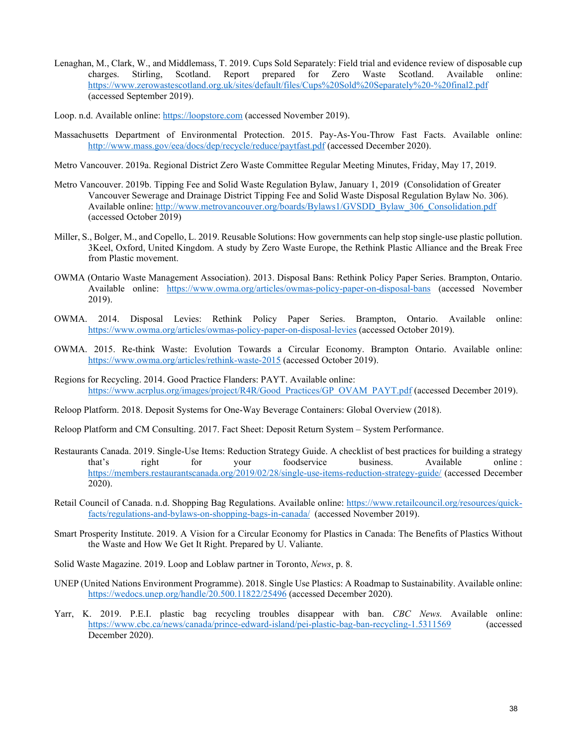- Lenaghan, M., Clark, W., and Middlemass, T. 2019. Cups Sold Separately: Field trial and evidence review of disposable cup charges. Stirling, Scotland. Report prepared for Zero Waste Scotland. Available online: <https://www.zerowastescotland.org.uk/sites/default/files/Cups%20Sold%20Separately%20-%20final2.pdf> (accessed September 2019).
- Loop. n.d. Available online: [https://loopstore.com](https://loopstore.com/) (accessed November 2019).
- Massachusetts Department of Environmental Protection. 2015. Pay-As-You-Throw Fast Facts. Available online: <http://www.mass.gov/eea/docs/dep/recycle/reduce/paytfast.pdf> (accessed December 2020).
- Metro Vancouver. 2019a. Regional District Zero Waste Committee Regular Meeting Minutes, Friday, May 17, 2019.
- Metro Vancouver. 2019b. Tipping Fee and Solid Waste Regulation Bylaw, January 1, 2019 (Consolidation of Greater Vancouver Sewerage and Drainage District Tipping Fee and Solid Waste Disposal Regulation Bylaw No. 306). Available online: [http://www.metrovancouver.org/boards/Bylaws1/GVSDD\\_Bylaw\\_306\\_Consolidation.pdf](http://www.metrovancouver.org/boards/Bylaws1/GVSDD_Bylaw_306_Consolidation.pdf) (accessed October 2019)
- Miller, S., Bolger, M., and Copello, L. 2019. Reusable Solutions: How governments can help stop single-use plastic pollution. 3Keel, Oxford, United Kingdom. A study by Zero Waste Europe, the Rethink Plastic Alliance and the Break Free from Plastic movement.
- OWMA (Ontario Waste Management Association). 2013. Disposal Bans: Rethink Policy Paper Series. Brampton, Ontario. Available online: <https://www.owma.org/articles/owmas-policy-paper-on-disposal-bans> (accessed November 2019).
- OWMA. 2014. Disposal Levies: Rethink Policy Paper Series. Brampton, Ontario. Available online: <https://www.owma.org/articles/owmas-policy-paper-on-disposal-levies> (accessed October 2019).
- OWMA. 2015. Re-think Waste: Evolution Towards a Circular Economy. Brampton Ontario. Available online: <https://www.owma.org/articles/rethink-waste-2015> (accessed October 2019).
- Regions for Recycling. 2014. Good Practice Flanders: PAYT. Available online: [https://www.acrplus.org/images/project/R4R/Good\\_Practices/GP\\_OVAM\\_PAYT.pdf](https://www.acrplus.org/images/project/R4R/Good_Practices/GP_OVAM_PAYT.pdf) (accessed December 2019).
- Reloop Platform. 2018. Deposit Systems for One-Way Beverage Containers: Global Overview (2018).
- Reloop Platform and CM Consulting. 2017. Fact Sheet: Deposit Return System System Performance.
- Restaurants Canada. 2019. Single-Use Items: Reduction Strategy Guide. A checklist of best practices for building a strategy that's right for your foodservice business. Available online: that's right for your foodservice business. Available online : <https://members.restaurantscanada.org/2019/02/28/single-use-items-reduction-strategy-guide/> (accessed December 2020).
- Retail Council of Canada. n.d. Shopping Bag Regulations. Available online: [https://www.retailcouncil.org/resources/quick](https://www.retailcouncil.org/resources/quick-facts/regulations-and-bylaws-on-shopping-bags-in-canada/)[facts/regulations-and-bylaws-on-shopping-bags-in-canada/](https://www.retailcouncil.org/resources/quick-facts/regulations-and-bylaws-on-shopping-bags-in-canada/) (accessed November 2019).
- Smart Prosperity Institute. 2019. A Vision for a Circular Economy for Plastics in Canada: The Benefits of Plastics Without the Waste and How We Get It Right. Prepared by U. Valiante.
- Solid Waste Magazine. 2019. Loop and Loblaw partner in Toronto, *News*, p. 8.
- UNEP (United Nations Environment Programme). 2018. Single Use Plastics: A Roadmap to Sustainability. Available online: <https://wedocs.unep.org/handle/20.500.11822/25496> (accessed December 2020).
- Yarr, K. 2019. P.E.I. plastic bag recycling troubles disappear with ban. *CBC News.* Available online: <https://www.cbc.ca/news/canada/prince-edward-island/pei-plastic-bag-ban-recycling-1.5311569> (accessed December 2020).